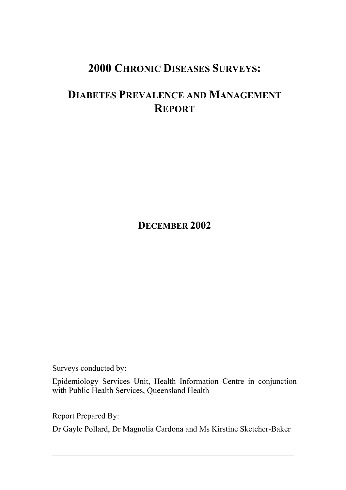# **2000 CHRONIC DISEASES SURVEYS:**

# **DIABETES PREVALENCE AND MANAGEMENT REPORT**

**DECEMBER 2002**

Surveys conducted by:

Epidemiology Services Unit, Health Information Centre in conjunction with Public Health Services, Queensland Health

Report Prepared By:

Dr Gayle Pollard, Dr Magnolia Cardona and Ms Kirstine Sketcher-Baker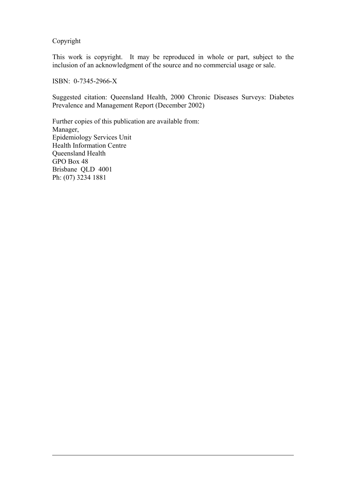Copyright

This work is copyright. It may be reproduced in whole or part, subject to the inclusion of an acknowledgment of the source and no commercial usage or sale.

ISBN: 0-7345-2966-X

Suggested citation: Queensland Health, 2000 Chronic Diseases Surveys: Diabetes Prevalence and Management Report (December 2002)

Further copies of this publication are available from: Manager, Epidemiology Services Unit Health Information Centre Queensland Health GPO Box 48 Brisbane QLD 4001 Ph: (07) 3234 1881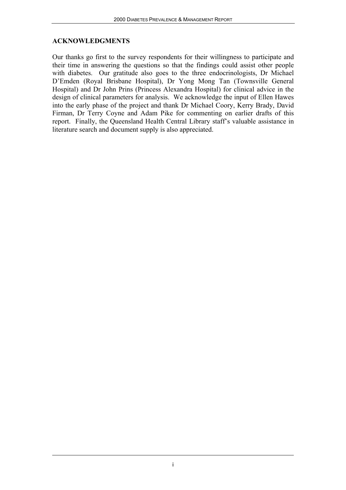### **ACKNOWLEDGMENTS**

Our thanks go first to the survey respondents for their willingness to participate and their time in answering the questions so that the findings could assist other people with diabetes. Our gratitude also goes to the three endocrinologists, Dr Michael D'Emden (Royal Brisbane Hospital), Dr Yong Mong Tan (Townsville General Hospital) and Dr John Prins (Princess Alexandra Hospital) for clinical advice in the design of clinical parameters for analysis. We acknowledge the input of Ellen Hawes into the early phase of the project and thank Dr Michael Coory, Kerry Brady, David Firman, Dr Terry Coyne and Adam Pike for commenting on earlier drafts of this report. Finally, the Queensland Health Central Library staff's valuable assistance in literature search and document supply is also appreciated.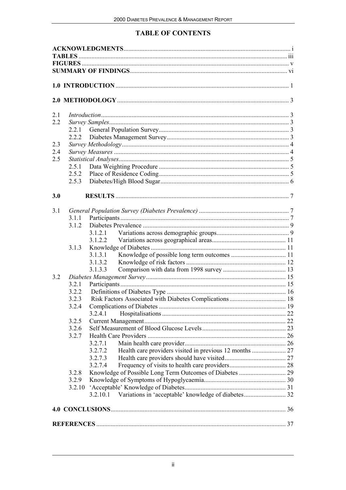## **TABLE OF CONTENTS**

| 2.1 |       |          |  |
|-----|-------|----------|--|
| 2.2 |       |          |  |
|     |       |          |  |
|     | 2.2.2 |          |  |
| 2.3 |       |          |  |
| 2.4 |       |          |  |
| 2.5 |       |          |  |
|     | 2.5.1 |          |  |
|     | 2.5.2 |          |  |
|     | 2.5.3 |          |  |
| 3.0 |       |          |  |
| 3.1 |       |          |  |
|     |       |          |  |
|     | 3.1.2 |          |  |
|     |       |          |  |
|     |       | 3.1.2.2  |  |
|     | 3.1.3 |          |  |
|     |       | 3.1.3.1  |  |
|     |       | 3.1.3.2  |  |
|     |       | 3.1.3.3  |  |
| 3.2 |       |          |  |
|     | 3.2.1 |          |  |
|     | 3.2.2 |          |  |
|     | 3.2.3 |          |  |
|     |       |          |  |
|     |       | 3.2.4.1  |  |
|     | 3.2.5 |          |  |
|     | 3.2.6 |          |  |
|     | 3.2.7 |          |  |
|     |       | 3.2.7.1  |  |
|     |       | 3.2.7.2  |  |
|     |       | 3.2.7.3  |  |
|     |       | 3.2.7.4  |  |
|     | 3.2.8 |          |  |
|     | 3.2.9 |          |  |
|     |       |          |  |
|     |       | 3.2.10.1 |  |
|     |       |          |  |
|     |       |          |  |
|     |       |          |  |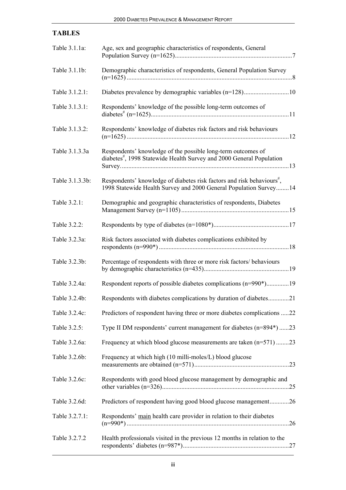| <b>TABLES</b>   |                                                                                                                                                          |
|-----------------|----------------------------------------------------------------------------------------------------------------------------------------------------------|
| Table 3.1.1a:   | Age, sex and geographic characteristics of respondents, General                                                                                          |
| Table 3.1.1b:   | Demographic characteristics of respondents, General Population Survey                                                                                    |
| Table 3.1.2.1:  | Diabetes prevalence by demographic variables (n=128)10                                                                                                   |
| Table 3.1.3.1:  | Respondents' knowledge of the possible long-term outcomes of                                                                                             |
| Table 3.1.3.2:  | Respondents' knowledge of diabetes risk factors and risk behaviours                                                                                      |
| Table 3.1.3.3a  | Respondents' knowledge of the possible long-term outcomes of<br>diabetes <sup>#</sup> , 1998 Statewide Health Survey and 2000 General Population         |
| Table 3.1.3.3b: | Respondents' knowledge of diabetes risk factors and risk behaviours <sup>#</sup> ,<br>1998 Statewide Health Survey and 2000 General Population Survey 14 |
| Table 3.2.1:    | Demographic and geographic characteristics of respondents, Diabetes                                                                                      |
| Table 3.2.2:    |                                                                                                                                                          |
| Table 3.2.3a:   | Risk factors associated with diabetes complications exhibited by                                                                                         |
| Table 3.2.3b:   | Percentage of respondents with three or more risk factors/behaviours                                                                                     |
| Table 3.2.4a:   | Respondent reports of possible diabetes complications (n=990*)19                                                                                         |
| Table 3.2.4b:   | Respondents with diabetes complications by duration of diabetes21                                                                                        |
| Table 3.2.4c:   | Predictors of respondent having three or more diabetes complications 22                                                                                  |
| Table 3.2.5:    | Type II DM respondents' current management for diabetes (n=894*) 23                                                                                      |
| Table 3.2.6a:   | Frequency at which blood glucose measurements are taken (n=571) 23                                                                                       |
| Table 3.2.6b:   | Frequency at which high (10 milli-moles/L) blood glucose                                                                                                 |
| Table 3.2.6c:   | Respondents with good blood glucose management by demographic and                                                                                        |
| Table 3.2.6d:   | Predictors of respondent having good blood glucose management26                                                                                          |
| Table 3.2.7.1:  | Respondents' main health care provider in relation to their diabetes                                                                                     |
| Table 3.2.7.2   | Health professionals visited in the previous 12 months in relation to the                                                                                |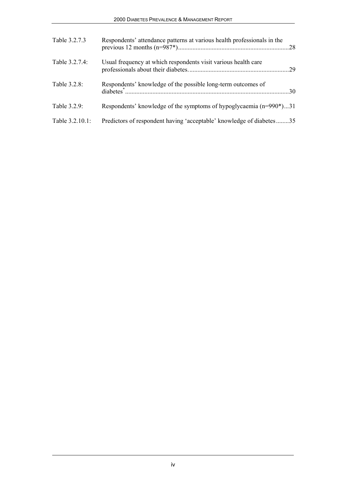| Table 3.2.7.3   | Respondents' attendance patterns at various health professionals in the |  |
|-----------------|-------------------------------------------------------------------------|--|
| Table 3.2.7.4:  | Usual frequency at which respondents visit various health care          |  |
| Table 3.2.8:    | Respondents' knowledge of the possible long-term outcomes of            |  |
| Table 3.2.9:    | Respondents' knowledge of the symptoms of hypoglycaemia (n=990*)31      |  |
| Table 3.2.10.1: | Predictors of respondent having 'acceptable' knowledge of diabetes35    |  |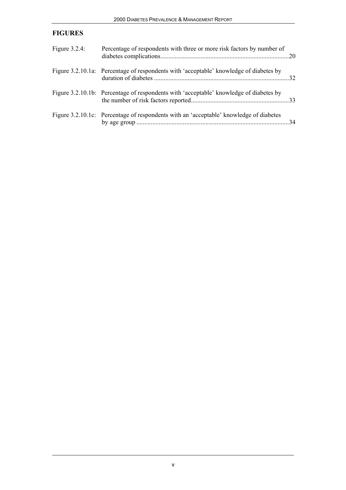## **FIGURES**

| Figure $3.2.4$ : | Percentage of respondents with three or more risk factors by number of                 |  |
|------------------|----------------------------------------------------------------------------------------|--|
|                  | Figure 3.2.10.1a: Percentage of respondents with 'acceptable' knowledge of diabetes by |  |
|                  | Figure 3.2.10.1b: Percentage of respondents with 'acceptable' knowledge of diabetes by |  |
|                  | Figure 3.2.10.1c: Percentage of respondents with an 'acceptable' knowledge of diabetes |  |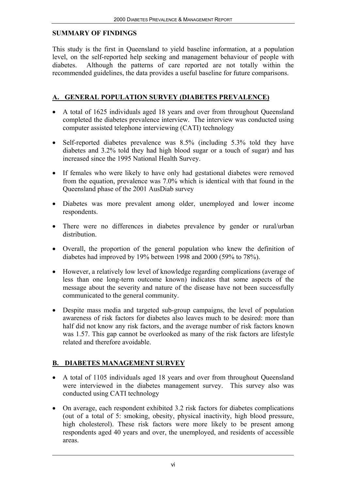### **SUMMARY OF FINDINGS**

This study is the first in Queensland to yield baseline information, at a population level, on the self-reported help seeking and management behaviour of people with diabetes. Although the patterns of care reported are not totally within the recommended guidelines, the data provides a useful baseline for future comparisons.

# **A. GENERAL POPULATION SURVEY (DIABETES PREVALENCE)**

- A total of 1625 individuals aged 18 years and over from throughout Queensland completed the diabetes prevalence interview. The interview was conducted using computer assisted telephone interviewing (CATI) technology
- Self-reported diabetes prevalence was 8.5% (including 5.3% told they have diabetes and 3.2% told they had high blood sugar or a touch of sugar) and has increased since the 1995 National Health Survey.
- If females who were likely to have only had gestational diabetes were removed from the equation, prevalence was 7.0% which is identical with that found in the Queensland phase of the 2001 AusDiab survey
- Diabetes was more prevalent among older, unemployed and lower income respondents.
- There were no differences in diabetes prevalence by gender or rural/urban distribution.
- Overall, the proportion of the general population who knew the definition of diabetes had improved by 19% between 1998 and 2000 (59% to 78%).
- However, a relatively low level of knowledge regarding complications (average of less than one long-term outcome known) indicates that some aspects of the message about the severity and nature of the disease have not been successfully communicated to the general community.
- Despite mass media and targeted sub-group campaigns, the level of population awareness of risk factors for diabetes also leaves much to be desired: more than half did not know any risk factors, and the average number of risk factors known was 1.57. This gap cannot be overlooked as many of the risk factors are lifestyle related and therefore avoidable.

# **B. DIABETES MANAGEMENT SURVEY**

- A total of 1105 individuals aged 18 years and over from throughout Queensland were interviewed in the diabetes management survey. This survey also was conducted using CATI technology
- On average, each respondent exhibited 3.2 risk factors for diabetes complications (out of a total of 5: smoking, obesity, physical inactivity, high blood pressure, high cholesterol). These risk factors were more likely to be present among respondents aged 40 years and over, the unemployed, and residents of accessible areas.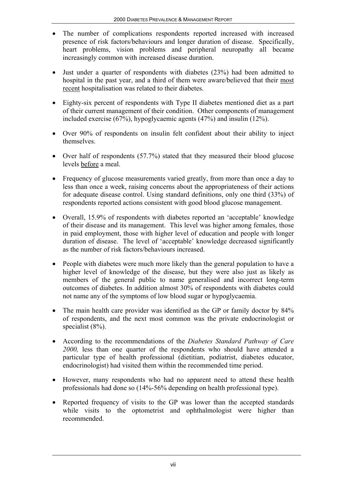- The number of complications respondents reported increased with increased presence of risk factors/behaviours and longer duration of disease. Specifically, heart problems, vision problems and peripheral neuropathy all became increasingly common with increased disease duration.
- Just under a quarter of respondents with diabetes (23%) had been admitted to hospital in the past year, and a third of them were aware/believed that their most recent hospitalisation was related to their diabetes.
- Eighty-six percent of respondents with Type II diabetes mentioned diet as a part of their current management of their condition. Other components of management included exercise (67%), hypoglycaemic agents (47%) and insulin (12%).
- Over 90% of respondents on insulin felt confident about their ability to inject themselves.
- Over half of respondents (57.7%) stated that they measured their blood glucose levels before a meal.
- Frequency of glucose measurements varied greatly, from more than once a day to less than once a week, raising concerns about the appropriateness of their actions for adequate disease control. Using standard definitions, only one third (33%) of respondents reported actions consistent with good blood glucose management.
- Overall, 15.9% of respondents with diabetes reported an 'acceptable' knowledge of their disease and its management. This level was higher among females, those in paid employment, those with higher level of education and people with longer duration of disease. The level of 'acceptable' knowledge decreased significantly as the number of risk factors/behaviours increased.
- People with diabetes were much more likely than the general population to have a higher level of knowledge of the disease, but they were also just as likely as members of the general public to name generalised and incorrect long-term outcomes of diabetes. In addition almost 30% of respondents with diabetes could not name any of the symptoms of low blood sugar or hypoglycaemia.
- The main health care provider was identified as the GP or family doctor by 84% of respondents, and the next most common was the private endocrinologist or specialist (8%).
- According to the recommendations of the *Diabetes Standard Pathway of Care 2000,* less than one quarter of the respondents who should have attended a particular type of health professional (dietitian, podiatrist, diabetes educator, endocrinologist) had visited them within the recommended time period.
- However, many respondents who had no apparent need to attend these health professionals had done so (14%-56% depending on health professional type).
- Reported frequency of visits to the GP was lower than the accepted standards while visits to the optometrist and ophthalmologist were higher than recommended.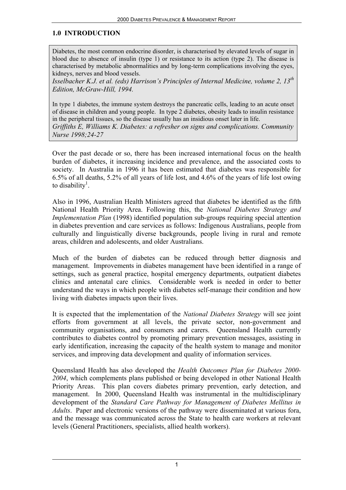## **1.0 INTRODUCTION**

Diabetes, the most common endocrine disorder, is characterised by elevated levels of sugar in blood due to absence of insulin (type 1) or resistance to its action (type 2). The disease is characterised by metabolic abnormalities and by long-term complications involving the eyes, kidneys, nerves and blood vessels.

*Isselbacher K.J. et al. (eds) Harrison's Principles of Internal Medicine, volume 2, 13th Edition, McGraw-Hill, 1994.*

In type 1 diabetes, the immune system destroys the pancreatic cells, leading to an acute onset of disease in children and young people. In type 2 diabetes, obesity leads to insulin resistance in the peripheral tissues, so the disease usually has an insidious onset later in life. *Griffiths E, Williams K. Diabetes: a refresher on signs and complications. Community Nurse 1998;24-27*

Over the past decade or so, there has been increased international focus on the health burden of diabetes, it increasing incidence and prevalence, and the associated costs to society. In Australia in 1996 it has been estimated that diabetes was responsible for 6.5% of all deaths, 5.2% of all years of life lost, and 4.6% of the years of life lost owing to disability<sup>1</sup>.

Also in 1996, Australian Health Ministers agreed that diabetes be identified as the fifth National Health Priority Area. Following this, the *National Diabetes Strategy and Implementation Plan* (1998) identified population sub-groups requiring special attention in diabetes prevention and care services as follows: Indigenous Australians, people from culturally and linguistically diverse backgrounds, people living in rural and remote areas, children and adolescents, and older Australians.

Much of the burden of diabetes can be reduced through better diagnosis and management. Improvements in diabetes management have been identified in a range of settings, such as general practice, hospital emergency departments, outpatient diabetes clinics and antenatal care clinics. Considerable work is needed in order to better understand the ways in which people with diabetes self-manage their condition and how living with diabetes impacts upon their lives.

It is expected that the implementation of the *National Diabetes Strategy* will see joint efforts from government at all levels, the private sector, non-government and community organisations, and consumers and carers. Queensland Health currently contributes to diabetes control by promoting primary prevention messages, assisting in early identification, increasing the capacity of the health system to manage and monitor services, and improving data development and quality of information services.

Queensland Health has also developed the *Health Outcomes Plan for Diabetes 2000- 2004*, which complements plans published or being developed in other National Health Priority Areas. This plan covers diabetes primary prevention, early detection, and management. In 2000, Queensland Health was instrumental in the multidisciplinary development of the *Standard Care Pathway for Management of Diabetes Mellitus in Adults*. Paper and electronic versions of the pathway were disseminated at various fora, and the message was communicated across the State to health care workers at relevant levels (General Practitioners, specialists, allied health workers).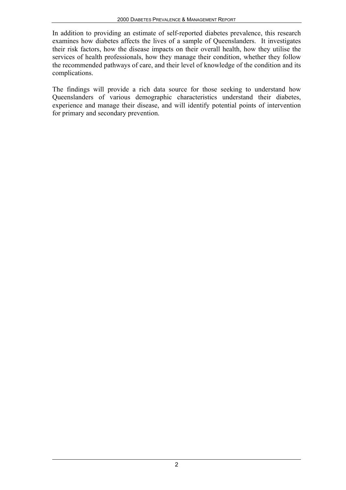In addition to providing an estimate of self-reported diabetes prevalence, this research examines how diabetes affects the lives of a sample of Queenslanders. It investigates their risk factors, how the disease impacts on their overall health, how they utilise the services of health professionals, how they manage their condition, whether they follow the recommended pathways of care, and their level of knowledge of the condition and its complications.

The findings will provide a rich data source for those seeking to understand how Queenslanders of various demographic characteristics understand their diabetes, experience and manage their disease, and will identify potential points of intervention for primary and secondary prevention.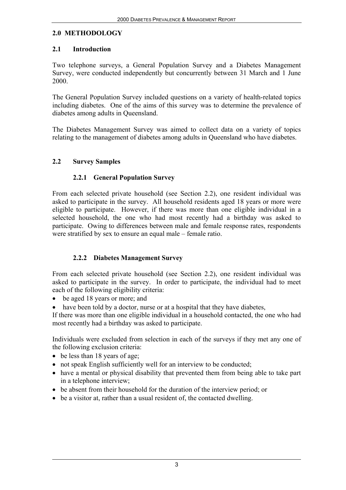### **2.0 METHODOLOGY**

## **2.1 Introduction**

Two telephone surveys, a General Population Survey and a Diabetes Management Survey, were conducted independently but concurrently between 31 March and 1 June 2000.

The General Population Survey included questions on a variety of health-related topics including diabetes. One of the aims of this survey was to determine the prevalence of diabetes among adults in Queensland.

The Diabetes Management Survey was aimed to collect data on a variety of topics relating to the management of diabetes among adults in Queensland who have diabetes.

## **2.2 Survey Samples**

# **2.2.1 General Population Survey**

From each selected private household (see Section 2.2), one resident individual was asked to participate in the survey. All household residents aged 18 years or more were eligible to participate. However, if there was more than one eligible individual in a selected household, the one who had most recently had a birthday was asked to participate. Owing to differences between male and female response rates, respondents were stratified by sex to ensure an equal male – female ratio.

# **2.2.2 Diabetes Management Survey**

From each selected private household (see Section 2.2), one resident individual was asked to participate in the survey. In order to participate, the individual had to meet each of the following eligibility criteria:

- be aged 18 years or more; and
- have been told by a doctor, nurse or at a hospital that they have diabetes,

If there was more than one eligible individual in a household contacted, the one who had most recently had a birthday was asked to participate.

Individuals were excluded from selection in each of the surveys if they met any one of the following exclusion criteria:

- be less than 18 years of age;
- not speak English sufficiently well for an interview to be conducted;
- have a mental or physical disability that prevented them from being able to take part in a telephone interview;
- be absent from their household for the duration of the interview period; or
- be a visitor at, rather than a usual resident of, the contacted dwelling.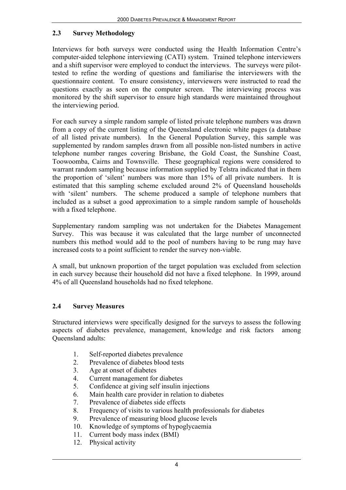### **2.3 Survey Methodology**

Interviews for both surveys were conducted using the Health Information Centre's computer-aided telephone interviewing (CATI) system. Trained telephone interviewers and a shift supervisor were employed to conduct the interviews. The surveys were pilottested to refine the wording of questions and familiarise the interviewers with the questionnaire content. To ensure consistency, interviewers were instructed to read the questions exactly as seen on the computer screen. The interviewing process was monitored by the shift supervisor to ensure high standards were maintained throughout the interviewing period.

For each survey a simple random sample of listed private telephone numbers was drawn from a copy of the current listing of the Queensland electronic white pages (a database of all listed private numbers). In the General Population Survey, this sample was supplemented by random samples drawn from all possible non-listed numbers in active telephone number ranges covering Brisbane, the Gold Coast, the Sunshine Coast, Toowoomba, Cairns and Townsville. These geographical regions were considered to warrant random sampling because information supplied by Telstra indicated that in them the proportion of 'silent' numbers was more than 15% of all private numbers. It is estimated that this sampling scheme excluded around 2% of Queensland households with 'silent' numbers. The scheme produced a sample of telephone numbers that included as a subset a good approximation to a simple random sample of households with a fixed telephone.

Supplementary random sampling was not undertaken for the Diabetes Management Survey. This was because it was calculated that the large number of unconnected numbers this method would add to the pool of numbers having to be rung may have increased costs to a point sufficient to render the survey non-viable.

A small, but unknown proportion of the target population was excluded from selection in each survey because their household did not have a fixed telephone. In 1999, around 4% of all Queensland households had no fixed telephone.

## **2.4 Survey Measures**

Structured interviews were specifically designed for the surveys to assess the following aspects of diabetes prevalence, management, knowledge and risk factors among Queensland adults:

- 1. Self-reported diabetes prevalence
- 2. Prevalence of diabetes blood tests
- 3. Age at onset of diabetes
- 4. Current management for diabetes
- 5. Confidence at giving self insulin injections
- 6. Main health care provider in relation to diabetes
- 7. Prevalence of diabetes side effects
- 8. Frequency of visits to various health professionals for diabetes
- 9. Prevalence of measuring blood glucose levels
- 10. Knowledge of symptoms of hypoglycaemia
- 11. Current body mass index (BMI)
- 12. Physical activity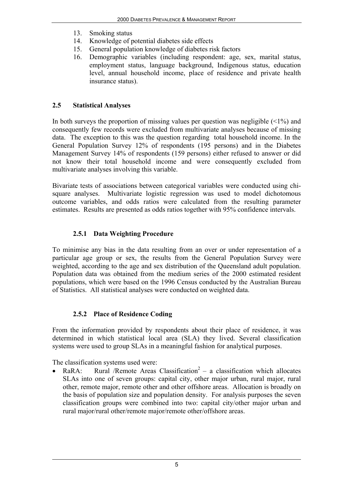- 13. Smoking status
- 14. Knowledge of potential diabetes side effects
- 15. General population knowledge of diabetes risk factors
- 16. Demographic variables (including respondent: age, sex, marital status, employment status, language background, Indigenous status, education level, annual household income, place of residence and private health insurance status).

## **2.5 Statistical Analyses**

In both surveys the proportion of missing values per question was negligible  $(\leq 1\%)$  and consequently few records were excluded from multivariate analyses because of missing data. The exception to this was the question regarding total household income. In the General Population Survey 12% of respondents (195 persons) and in the Diabetes Management Survey 14% of respondents (159 persons) either refused to answer or did not know their total household income and were consequently excluded from multivariate analyses involving this variable.

Bivariate tests of associations between categorical variables were conducted using chisquare analyses. Multivariate logistic regression was used to model dichotomous outcome variables, and odds ratios were calculated from the resulting parameter estimates. Results are presented as odds ratios together with 95% confidence intervals.

# **2.5.1 Data Weighting Procedure**

To minimise any bias in the data resulting from an over or under representation of a particular age group or sex, the results from the General Population Survey were weighted, according to the age and sex distribution of the Queensland adult population. Population data was obtained from the medium series of the 2000 estimated resident populations, which were based on the 1996 Census conducted by the Australian Bureau of Statistics. All statistical analyses were conducted on weighted data.

# **2.5.2 Place of Residence Coding**

From the information provided by respondents about their place of residence, it was determined in which statistical local area (SLA) they lived. Several classification systems were used to group SLAs in a meaningful fashion for analytical purposes.

The classification systems used were:

RaRA: Rural /Remote Areas Classification<sup>2</sup> – a classification which allocates SLAs into one of seven groups: capital city, other major urban, rural major, rural other, remote major, remote other and other offshore areas. Allocation is broadly on the basis of population size and population density. For analysis purposes the seven classification groups were combined into two: capital city/other major urban and rural major/rural other/remote major/remote other/offshore areas.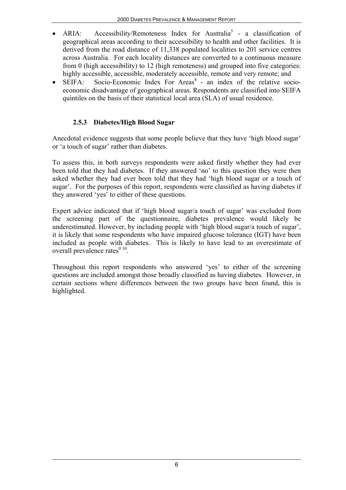- ARIA: Accessibility/Remoteness Index for Australia<sup>3</sup> a classification of geographical areas according to their accessibility to health and other facilities. It is derived from the road distance of 11,338 populated localities to 201 service centres across Australia. For each locality distances are converted to a continuous measure from 0 (high accessibility) to 12 (high remoteness) and grouped into five categories: highly accessible, accessible, moderately accessible, remote and very remote; and
- SEIFA: Socio-Economic Index For Areas<sup>4</sup> an index of the relative socioeconomic disadvantage of geographical areas. Respondents are classified into SEIFA quintiles on the basis of their statistical local area (SLA) of usual residence.

## **2.5.3 Diabetes/High Blood Sugar**

Anecdotal evidence suggests that some people believe that they have 'high blood sugar' or 'a touch of sugar' rather than diabetes.

To assess this, in both surveys respondents were asked firstly whether they had ever been told that they had diabetes. If they answered 'no' to this question they were then asked whether they had ever been told that they had 'high blood sugar or a touch of sugar'. For the purposes of this report, respondents were classified as having diabetes if they answered 'yes' to either of these questions.

Expert advice indicated that if 'high blood sugar/a touch of sugar' was excluded from the screening part of the questionnaire, diabetes prevalence would likely be underestimated. However, by including people with 'high blood sugar/a touch of sugar', it is likely that some respondents who have impaired glucose tolerance (IGT) have been included as people with diabetes. This is likely to have lead to an overestimate of overall prevalence rates $910$ .

Throughout this report respondents who answered 'yes' to either of the screening questions are included amongst those broadly classified as having diabetes. However, in certain sections where differences between the two groups have been found, this is highlighted.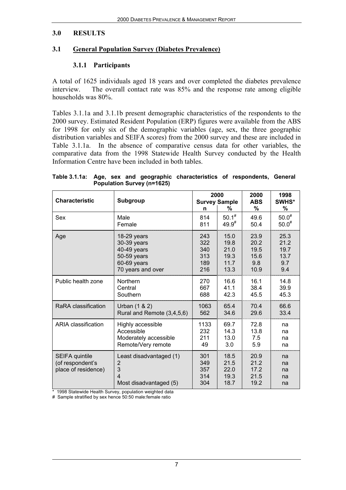#### **3.0 RESULTS**

## **3.1 General Population Survey (Diabetes Prevalence)**

## **3.1.1 Participants**

A total of 1625 individuals aged 18 years and over completed the diabetes prevalence interview. The overall contact rate was 85% and the response rate among eligible households was 80%.

Tables 3.1.1a and 3.1.1b present demographic characteristics of the respondents to the 2000 survey. Estimated Resident Population (ERP) figures were available from the ABS for 1998 for only six of the demographic variables (age, sex, the three geographic distribution variables and SEIFA scores) from the 2000 survey and these are included in Table 3.1.1a. In the absence of comparative census data for other variables, the comparative data from the 1998 Statewide Health Survey conducted by the Health Information Centre have been included in both tables.

**Table 3.1.1a: Age, sex and geographic characteristics of respondents, General Population Survey (n=1625)**

| <b>Characteristic</b>                                            | Subgroup                                                                               | n                               | 2000<br><b>Survey Sample</b><br>%    | 2000<br><b>ABS</b><br>%              | 1998<br>SWHS*<br>℅         |
|------------------------------------------------------------------|----------------------------------------------------------------------------------------|---------------------------------|--------------------------------------|--------------------------------------|----------------------------|
| Sex                                                              | Male                                                                                   | 814                             | $50.1^{#}$                           | 49.6                                 | $50.0^{#}$                 |
|                                                                  | Female                                                                                 | 811                             | $49.9^{*}$                           | 50.4                                 | $50.0^{#}$                 |
| Age                                                              | $18-29$ years                                                                          | 243                             | 15.0                                 | 23.9                                 | 25.3                       |
|                                                                  | 30-39 years                                                                            | 322                             | 19.8                                 | 20.2                                 | 21.2                       |
|                                                                  | 40-49 years                                                                            | 340                             | 21.0                                 | 19.5                                 | 19.7                       |
|                                                                  | 50-59 years                                                                            | 313                             | 19.3                                 | 15.6                                 | 13.7                       |
|                                                                  | 60-69 years                                                                            | 189                             | 11.7                                 | 9.8                                  | 9.7                        |
|                                                                  | 70 years and over                                                                      | 216                             | 13.3                                 | 10.9                                 | 9.4                        |
| Public health zone                                               | <b>Northern</b>                                                                        | 270                             | 16.6                                 | 16.1                                 | 14.8                       |
|                                                                  | Central                                                                                | 667                             | 41.1                                 | 38.4                                 | 39.9                       |
|                                                                  | Southern                                                                               | 688                             | 42.3                                 | 45.5                                 | 45.3                       |
| RaRA classification                                              | Urban (1 & 2)                                                                          | 1063                            | 65.4                                 | 70.4                                 | 66.6                       |
|                                                                  | Rural and Remote (3,4,5,6)                                                             | 562                             | 34.6                                 | 29.6                                 | 33.4                       |
| <b>ARIA classification</b>                                       | Highly accessible                                                                      | 1133                            | 69.7                                 | 72.8                                 | na                         |
|                                                                  | Accessible                                                                             | 232                             | 14.3                                 | 13.8                                 | na                         |
|                                                                  | Moderately accessible                                                                  | 211                             | 13.0                                 | 7.5                                  | na                         |
|                                                                  | Remote/Very remote                                                                     | 49                              | 3.0                                  | 5.9                                  | na                         |
| <b>SEIFA quintile</b><br>(of respondent's<br>place of residence) | Least disadvantaged (1)<br>2<br>3<br>$\overline{\mathbf{A}}$<br>Most disadvantaged (5) | 301<br>349<br>357<br>314<br>304 | 18.5<br>21.5<br>22.0<br>19.3<br>18.7 | 20.9<br>21.2<br>17.2<br>21.5<br>19.2 | na<br>na<br>na<br>na<br>na |

\* 1998 Statewide Health Survey, population weighted data

# Sample stratified by sex hence 50:50 male:female ratio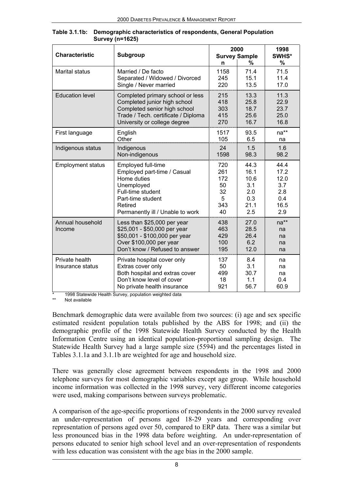|                                    |                                                                                                                                                           | 2000                            | 1998                                |                               |
|------------------------------------|-----------------------------------------------------------------------------------------------------------------------------------------------------------|---------------------------------|-------------------------------------|-------------------------------|
| <b>Characteristic</b>              | <b>Subgroup</b>                                                                                                                                           | n                               | <b>Survey Sample</b><br>℅           | SWHS*<br>%                    |
| <b>Marital status</b>              | Married / De facto                                                                                                                                        | 1158                            | 71.4                                | 71.5                          |
|                                    | Separated / Widowed / Divorced                                                                                                                            | 245                             | 15.1                                | 11.4                          |
|                                    | Single / Never married                                                                                                                                    | 220                             | 13.5                                | 17.0                          |
| <b>Education level</b>             | Completed primary school or less                                                                                                                          | 215                             | 13.3                                | 11.3                          |
|                                    | Completed junior high school                                                                                                                              | 418                             | 25.8                                | 22.9                          |
|                                    | Completed senior high school                                                                                                                              | 303                             | 18.7                                | 23.7                          |
|                                    | Trade / Tech. certificate / Diploma                                                                                                                       | 415                             | 25.6                                | 25.0                          |
|                                    | University or college degree                                                                                                                              | 270                             | 16.7                                | 16.8                          |
| First language                     | English                                                                                                                                                   | 1517                            | 93.5                                | na**                          |
|                                    | Other                                                                                                                                                     | 105                             | 6.5                                 | na                            |
| Indigenous status                  | Indigenous                                                                                                                                                | 24                              | 1.5                                 | 1.6                           |
|                                    | Non-indigenous                                                                                                                                            | 1598                            | 98.3                                | 98.2                          |
| <b>Employment status</b>           | Employed full-time                                                                                                                                        | 720                             | 44.3                                | 44.4                          |
|                                    | Employed part-time / Casual                                                                                                                               | 261                             | 16.1                                | 17.2                          |
|                                    | Home duties                                                                                                                                               | 172                             | 10.6                                | 12.0                          |
|                                    | Unemployed                                                                                                                                                | 50                              | 3.1                                 | 3.7                           |
|                                    | Full-time student                                                                                                                                         | 32                              | 2.0                                 | 2.8                           |
|                                    | Part-time student                                                                                                                                         | 5                               | 0.3                                 | 0.4                           |
|                                    | Retired                                                                                                                                                   | 343                             | 21.1                                | 16.5                          |
|                                    | Permanently ill / Unable to work                                                                                                                          | 40                              | 2.5                                 | 2.9                           |
| Annual household<br>Income         | Less than \$25,000 per year<br>\$25,001 - \$50,000 per year<br>\$50,001 - \$100,000 per year<br>Over \$100,000 per year<br>Don't know / Refused to answer | 438<br>463<br>429<br>100<br>195 | 27.0<br>28.5<br>26.4<br>6.2<br>12.0 | na**<br>na<br>na<br>na<br>na  |
| Private health<br>Insurance status | Private hospital cover only<br>Extras cover only<br>Both hospital and extras cover<br>Don't know level of cover<br>No private health insurance            | 137<br>50<br>499<br>18<br>921   | 8.4<br>3.1<br>30.7<br>1.1<br>56.7   | na<br>na<br>na<br>0.4<br>60.9 |

**Table 3.1.1b: Demographic characteristics of respondents, General Population Survey (n=1625)**

1998 Statewide Health Survey, population weighted data

Not available

Benchmark demographic data were available from two sources: (i) age and sex specific estimated resident population totals published by the ABS for 1998; and (ii) the demographic profile of the 1998 Statewide Health Survey conducted by the Health Information Centre using an identical population-proportional sampling design. The Statewide Health Survey had a large sample size (5594) and the percentages listed in Tables 3.1.1a and 3.1.1b are weighted for age and household size.

There was generally close agreement between respondents in the 1998 and 2000 telephone surveys for most demographic variables except age group. While household income information was collected in the 1998 survey, very different income categories were used, making comparisons between surveys problematic.

A comparison of the age-specific proportions of respondents in the 2000 survey revealed an under-representation of persons aged 18-29 years and corresponding over representation of persons aged over 50, compared to ERP data. There was a similar but less pronounced bias in the 1998 data before weighting. An under-representation of persons educated to senior high school level and an over-representation of respondents with less education was consistent with the age bias in the 2000 sample.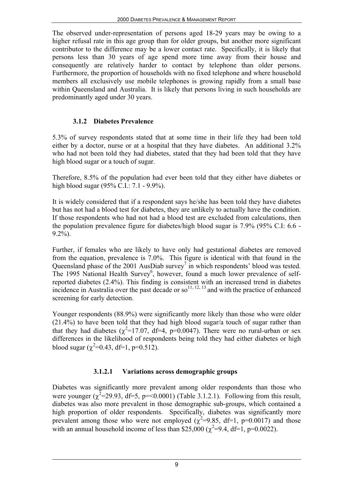The observed under-representation of persons aged 18-29 years may be owing to a higher refusal rate in this age group than for older groups, but another more significant contributor to the difference may be a lower contact rate. Specifically, it is likely that persons less than 30 years of age spend more time away from their house and consequently are relatively harder to contact by telephone than older persons. Furthermore, the proportion of households with no fixed telephone and where household members all exclusively use mobile telephones is growing rapidly from a small base within Queensland and Australia. It is likely that persons living in such households are predominantly aged under 30 years.

## **3.1.2 Diabetes Prevalence**

5.3% of survey respondents stated that at some time in their life they had been told either by a doctor, nurse or at a hospital that they have diabetes. An additional 3.2% who had not been told they had diabetes, stated that they had been told that they have high blood sugar or a touch of sugar.

Therefore, 8.5% of the population had ever been told that they either have diabetes or high blood sugar (95% C.I.: 7.1 - 9.9%).

It is widely considered that if a respondent says he/she has been told they have diabetes but has not had a blood test for diabetes, they are unlikely to actually have the condition. If those respondents who had not had a blood test are excluded from calculations, then the population prevalence figure for diabetes/high blood sugar is 7.9% (95% C.I: 6.6 - 9.2%).

Further, if females who are likely to have only had gestational diabetes are removed from the equation, prevalence is 7.0%. This figure is identical with that found in the Queensland phase of the 2001 AusDiab survey<sup>7</sup> in which respondents' blood was tested. The 1995 National Health Survey<sup>6</sup>, however, found a much lower prevalence of selfreported diabetes (2.4%). This finding is consistent with an increased trend in diabetes incidence in Australia over the past decade or so<sup>11, 12, 13</sup> and with the practice of enhanced screening for early detection.

Younger respondents (88.9%) were significantly more likely than those who were older (21.4%) to have been told that they had high blood sugar/a touch of sugar rather than that they had diabetes ( $\chi^2$ =17.07, df=4, p=0.0047). There were no rural-urban or sex differences in the likelihood of respondents being told they had either diabetes or high blood sugar  $(\chi^2=0.43, df=1, p=0.512)$ .

## **3.1.2.1 Variations across demographic groups**

Diabetes was significantly more prevalent among older respondents than those who were younger  $(\chi^2=29.93, df=5, p=<0.0001)$  (Table 3.1.2.1). Following from this result, diabetes was also more prevalent in those demographic sub-groups, which contained a high proportion of older respondents. Specifically, diabetes was significantly more prevalent among those who were not employed ( $\chi^2$ =9.85, df=1, p=0.0017) and those with an annual household income of less than \$25,000 ( $\chi^2$ =9.4, df=1, p=0.0022).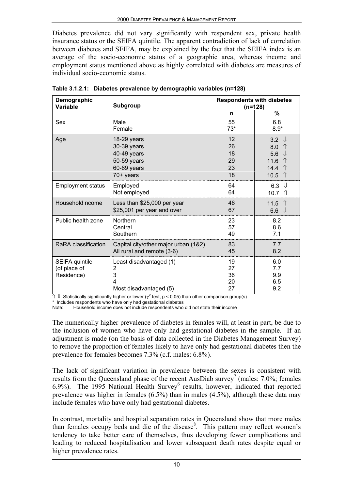Diabetes prevalence did not vary significantly with respondent sex, private health insurance status or the SEIFA quintile. The apparent contradiction of lack of correlation between diabetes and SEIFA, may be explained by the fact that the SEIFA index is an average of the socio-economic status of a geographic area, whereas income and employment status mentioned above as highly correlated with diabetes are measures of individual socio-economic status.

| Demographic<br><b>Variable</b>               | <b>Subgroup</b>                                                                        |                                                 | <b>Respondents with diabetes</b><br>$(n=128)$                                                                                     |
|----------------------------------------------|----------------------------------------------------------------------------------------|-------------------------------------------------|-----------------------------------------------------------------------------------------------------------------------------------|
|                                              |                                                                                        | n                                               | $\%$                                                                                                                              |
| Sex                                          | Male<br>Female                                                                         | 55<br>$73*$                                     | 6.8<br>$8.9*$                                                                                                                     |
| Age                                          | $18-29$ years<br>30-39 years<br>40-49 years<br>50-59 years<br>60-69 years<br>70+ years | $12 \overline{ }$<br>26<br>18<br>29<br>23<br>18 | $3.2 \quad \downarrow$<br>8.0<br>$\mathcal{L}$<br>⇓<br>5.6<br>$\hat{\Pi}$<br>11.6<br>14.4 $\hat{1}$<br>$\hat{\mathbb{r}}$<br>10.5 |
| <b>Employment status</b>                     | Employed<br>Not employed                                                               | 64<br>64                                        | ⇓<br>6.3<br>10.7<br>ी                                                                                                             |
| Household ncome                              | Less than \$25,000 per year<br>\$25,001 per year and over                              | 46<br>67                                        | 11.5 $\hat{\mathbb{1}}$<br>6.6 $\Downarrow$                                                                                       |
| Public health zone                           | Northern<br>Central<br>Southern                                                        | 23<br>57<br>49                                  | 8.2<br>8.6<br>7.1                                                                                                                 |
| RaRA classification                          | Capital city/other major urban (1&2)<br>All rural and remote (3-6)                     | 83<br>45                                        | 7.7<br>8.2                                                                                                                        |
| SEIFA quintile<br>(of place of<br>Residence) | Least disadvantaged (1)<br>2<br>3<br>Most disadvantaged (5)                            | 19<br>27<br>36<br>20<br>27                      | 6.0<br>7.7<br>9.9<br>6.5<br>9.2                                                                                                   |

**Table 3.1.2.1: Diabetes prevalence by demographic variables (n=128)**

 $\Uparrow$   $\Downarrow$  Statistically significantly higher or lower ( $\chi^2$  test, p < 0.05) than other comparison group(s)

\* Includes respondents who have only had gestational diabetes

Note: Household income does not include respondents who did not state their income

The numerically higher prevalence of diabetes in females will, at least in part, be due to the inclusion of women who have only had gestational diabetes in the sample. If an adjustment is made (on the basis of data collected in the Diabetes Management Survey) to remove the proportion of females likely to have only had gestational diabetes then the prevalence for females becomes 7.3% (c.f. males: 6.8%).

The lack of significant variation in prevalence between the sexes is consistent with results from the Queensland phase of the recent AusDiab survey<sup>7</sup> (males: 7.0%; females 6.9%). The 1995 National Health Survey $<sup>6</sup>$  results, however, indicated that reported</sup> prevalence was higher in females (6.5%) than in males (4.5%), although these data may include females who have only had gestational diabetes.

In contrast, mortality and hospital separation rates in Queensland show that more males than females occupy beds and die of the disease<sup>8</sup>. This pattern may reflect women's tendency to take better care of themselves, thus developing fewer complications and leading to reduced hospitalisation and lower subsequent death rates despite equal or higher prevalence rates.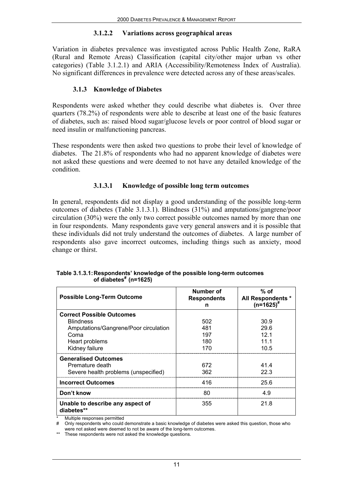#### **3.1.2.2 Variations across geographical areas**

Variation in diabetes prevalence was investigated across Public Health Zone, RaRA (Rural and Remote Areas) Classification (capital city/other major urban vs other categories) (Table 3.1.2.1) and ARIA (Accessibility/Remoteness Index of Australia). No significant differences in prevalence were detected across any of these areas/scales.

## **3.1.3 Knowledge of Diabetes**

Respondents were asked whether they could describe what diabetes is. Over three quarters (78.2%) of respondents were able to describe at least one of the basic features of diabetes, such as: raised blood sugar/glucose levels or poor control of blood sugar or need insulin or malfunctioning pancreas.

These respondents were then asked two questions to probe their level of knowledge of diabetes. The 21.8% of respondents who had no apparent knowledge of diabetes were not asked these questions and were deemed to not have any detailed knowledge of the condition.

## **3.1.3.1 Knowledge of possible long term outcomes**

In general, respondents did not display a good understanding of the possible long-term outcomes of diabetes (Table 3.1.3.1). Blindness (31%) and amputations/gangrene/poor circulation (30%) were the only two correct possible outcomes named by more than one in four respondents. Many respondents gave very general answers and it is possible that these individuals did not truly understand the outcomes of diabetes. A large number of respondents also gave incorrect outcomes, including things such as anxiety, mood change or thirst.

| <b>Possible Long-Term Outcome</b>              | Number of<br><b>Respondents</b><br>n | $%$ of<br>All Respondents *<br>$(n=1625)^{*}$ |
|------------------------------------------------|--------------------------------------|-----------------------------------------------|
| <b>Correct Possible Outcomes</b>               |                                      |                                               |
| <b>Blindness</b>                               | 502                                  | 30.9                                          |
| Amputations/Gangrene/Poor circulation          | 481                                  | 29.6                                          |
| Coma                                           | 197                                  | 12 <sub>1</sub>                               |
| Heart problems                                 | 180                                  | 111                                           |
| Kidney failure                                 | 170                                  | 10.5                                          |
| <b>Generalised Outcomes</b>                    |                                      |                                               |
| Premature death                                | 672                                  | 414                                           |
| Severe health problems (unspecified)           | 362                                  | 22.3                                          |
| <b>Incorrect Outcomes</b>                      | 416                                  | 25.6                                          |
| Don't know                                     | 80                                   | 4.9                                           |
| Unable to describe any aspect of<br>diabetes** | 355                                  | 21.8                                          |

**Table 3.1.3.1:Respondents' knowledge of the possible long-term outcomes of diabetes# (n=1625)**

Multiple responses permitted

# Only respondents who could demonstrate a basic knowledge of diabetes were asked this question, those who

were not asked were deemed to not be aware of the long-term outcomes.

\*\* These respondents were not asked the knowledge questions.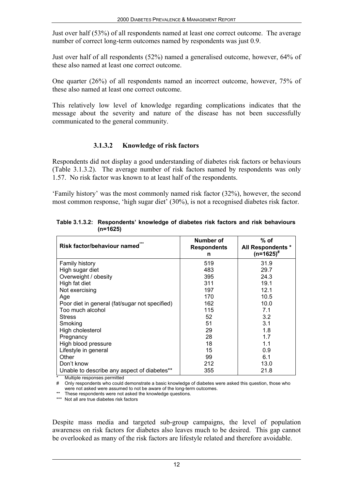Just over half (53%) of all respondents named at least one correct outcome. The average number of correct long-term outcomes named by respondents was just 0.9.

Just over half of all respondents (52%) named a generalised outcome, however, 64% of these also named at least one correct outcome.

One quarter (26%) of all respondents named an incorrect outcome, however, 75% of these also named at least one correct outcome.

This relatively low level of knowledge regarding complications indicates that the message about the severity and nature of the disease has not been successfully communicated to the general community.

## **3.1.3.2 Knowledge of risk factors**

Respondents did not display a good understanding of diabetes risk factors or behaviours (Table 3.1.3.2). The average number of risk factors named by respondents was only 1.57. No risk factor was known to at least half of the respondents.

'Family history' was the most commonly named risk factor (32%), however, the second most common response, 'high sugar diet' (30%), is not a recognised diabetes risk factor.

| Risk factor/behaviour named                    | Number of<br><b>Respondents</b><br>n | $%$ of<br><b>All Respondents *</b><br>$(n=1625)^{*}$ |
|------------------------------------------------|--------------------------------------|------------------------------------------------------|
| Family history                                 | 519                                  | 31.9                                                 |
| High sugar diet                                | 483                                  | 29.7                                                 |
| Overweight / obesity                           | 395                                  | 24.3                                                 |
| High fat diet                                  | 311                                  | 19.1                                                 |
| Not exercising                                 | 197                                  | 12.1                                                 |
| Age                                            | 170                                  | 10.5                                                 |
| Poor diet in general (fat/sugar not specified) | 162                                  | 10.0                                                 |
| Too much alcohol                               | 115                                  | 7.1                                                  |
| <b>Stress</b>                                  | 52                                   | 3.2                                                  |
| Smoking                                        | 51                                   | 3.1                                                  |
| High cholesterol                               | 29                                   | 1.8                                                  |
| Pregnancy                                      | 28                                   | 1.7                                                  |
| High blood pressure                            | 18                                   | 1.1                                                  |
| Lifestyle in general                           | 15                                   | 0.9                                                  |
| Other                                          | 99                                   | 6.1                                                  |
| Don't know                                     | 212                                  | 13.0                                                 |
| Unable to describe any aspect of diabetes**    | 355                                  | 21.8                                                 |

**Table 3.1.3.2: Respondents' knowledge of diabetes risk factors and risk behaviours (n=1625)**

Multiple responses permitted

# Only respondents who could demonstrate a basic knowledge of diabetes were asked this question, those who were not asked were assumed to not be aware of the long-term outcomes.

\*\* These respondents were not asked the knowledge questions.

\*\*\* Not all are true diabetes risk factors

Despite mass media and targeted sub-group campaigns, the level of population awareness on risk factors for diabetes also leaves much to be desired. This gap cannot be overlooked as many of the risk factors are lifestyle related and therefore avoidable.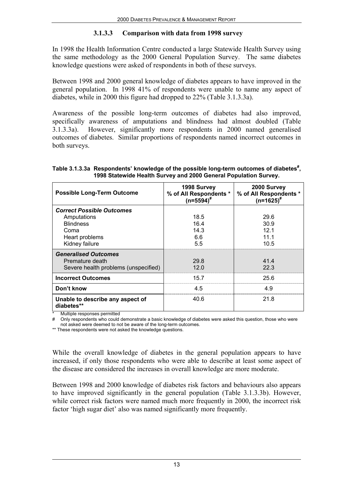### **3.1.3.3 Comparison with data from 1998 survey**

In 1998 the Health Information Centre conducted a large Statewide Health Survey using the same methodology as the 2000 General Population Survey. The same diabetes knowledge questions were asked of respondents in both of these surveys.

Between 1998 and 2000 general knowledge of diabetes appears to have improved in the general population. In 1998 41% of respondents were unable to name any aspect of diabetes, while in 2000 this figure had dropped to 22% (Table 3.1.3.3a).

Awareness of the possible long-term outcomes of diabetes had also improved, specifically awareness of amputations and blindness had almost doubled (Table 3.1.3.3a). However, significantly more respondents in 2000 named generalised outcomes of diabetes. Similar proportions of respondents named incorrect outcomes in both surveys.

| <b>Possible Long-Term Outcome</b>                                                      | 1998 Survey<br>% of All Respondents *<br>$(n=5594)^{#}$ | 2000 Survey<br>% of All Respondents *<br>$(n=1625)^{#}$ |
|----------------------------------------------------------------------------------------|---------------------------------------------------------|---------------------------------------------------------|
| <b>Correct Possible Outcomes</b>                                                       |                                                         |                                                         |
| Amputations                                                                            | 18.5                                                    | 29.6                                                    |
| <b>Blindness</b>                                                                       | 16.4                                                    | 30.9                                                    |
| Coma                                                                                   | 14.3                                                    | 12 <sub>1</sub>                                         |
| Heart problems                                                                         | 6.6                                                     | 11 1                                                    |
| Kidney failure                                                                         | 5.5                                                     | 10.5                                                    |
| <b>Generalised Outcomes</b><br>Premature death<br>Severe health problems (unspecified) | 29.8<br>12.0                                            | 414<br>22.3                                             |
| <b>Incorrect Outcomes</b>                                                              | 15.7                                                    | 25.6                                                    |
| Don't know                                                                             | 4.5                                                     | 49                                                      |
| Unable to describe any aspect of<br>diabetes**                                         | 40.6                                                    | 21.8                                                    |

Table 3.1.3.3a Respondents' knowledge of the possible long-term outcomes of diabetes<sup>#</sup>, **1998 Statewide Health Survey and 2000 General Population Survey.**

Multiple responses permitted

# Only respondents who could demonstrate a basic knowledge of diabetes were asked this question, those who were not asked were deemed to not be aware of the long-term outcomes.

\*\* These respondents were not asked the knowledge questions.

While the overall knowledge of diabetes in the general population appears to have increased, if only those respondents who were able to describe at least some aspect of the disease are considered the increases in overall knowledge are more moderate.

Between 1998 and 2000 knowledge of diabetes risk factors and behaviours also appears to have improved significantly in the general population (Table 3.1.3.3b). However, while correct risk factors were named much more frequently in 2000, the incorrect risk factor 'high sugar diet' also was named significantly more frequently.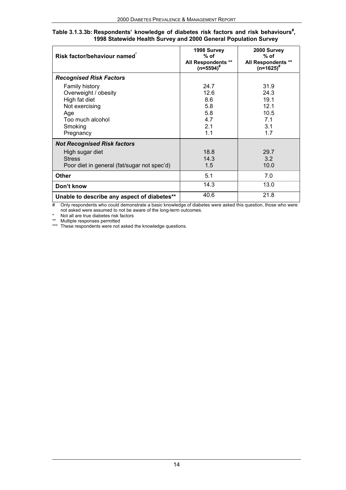| Table 3.1.3.3b: Respondents' knowledge of diabetes risk factors and risk behaviours <sup>#</sup> , |                                                                 |  |  |
|----------------------------------------------------------------------------------------------------|-----------------------------------------------------------------|--|--|
|                                                                                                    | 1998 Statewide Health Survey and 2000 General Population Survey |  |  |

| Risk factor/behaviour named                                                                                                  | 1998 Survey<br>$%$ of<br>All Respondents **<br>$(n=5594)^{#}$     | 2000 Survey<br>$%$ of<br>All Respondents **<br>$(n=1625)^{#}$ |
|------------------------------------------------------------------------------------------------------------------------------|-------------------------------------------------------------------|---------------------------------------------------------------|
| <b>Recognised Risk Factors</b>                                                                                               |                                                                   |                                                               |
| Family history<br>Overweight / obesity<br>High fat diet<br>Not exercising<br>Age<br>Too much alcohol<br>Smoking<br>Pregnancy | 24.7<br>12.6<br>8.6<br>5.8<br>5.8<br>4.7<br>2.1<br>1 <sub>1</sub> | 31.9<br>24.3<br>19.1<br>12.1<br>10.5<br>7.1<br>3.1<br>17      |
| <b>Not Recognised Risk factors</b><br>High sugar diet<br><b>Stress</b><br>Poor diet in general (fat/sugar not spec'd)        | 18.8<br>14.3<br>1.5                                               | 29.7<br>3.2<br>10.0                                           |
| <b>Other</b>                                                                                                                 | 5.1                                                               | 7.0                                                           |
| Don't know                                                                                                                   | 14.3                                                              | 13.0                                                          |
| Unable to describe any aspect of diabetes**                                                                                  | 40.6                                                              | 21.8                                                          |

# Only respondents who could demonstrate a basic knowledge of diabetes were asked this question, those who were not asked were assumed to not be aware of the long-term outcomes.

\* Not all are true diabetes risk factors

\*\* Multiple responses permitted

\*\*\* These respondents were not asked the knowledge questions.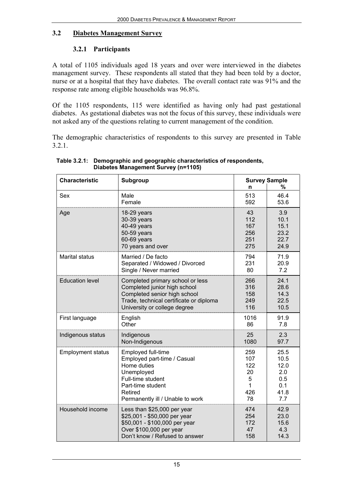### **3.2 Diabetes Management Survey**

## **3.2.1 Participants**

A total of 1105 individuals aged 18 years and over were interviewed in the diabetes management survey. These respondents all stated that they had been told by a doctor, nurse or at a hospital that they have diabetes. The overall contact rate was 91% and the response rate among eligible households was 96.8%.

Of the 1105 respondents, 115 were identified as having only had past gestational diabetes. As gestational diabetes was not the focus of this survey, these individuals were not asked any of the questions relating to current management of the condition.

The demographic characteristics of respondents to this survey are presented in Table 3.2.1.

| <b>Characteristic</b>    | Subgroup                                |      | <b>Survey Sample</b> |
|--------------------------|-----------------------------------------|------|----------------------|
|                          |                                         | n    | %                    |
| Sex                      | Male                                    | 513  | 46.4                 |
|                          | Female                                  | 592  | 53.6                 |
| Age                      | 18-29 years                             | 43   | 3.9                  |
|                          | 30-39 years                             | 112  | 10.1                 |
|                          | 40-49 years                             | 167  | 15.1                 |
|                          | 50-59 years                             | 256  | 23.2                 |
|                          | 60-69 years                             | 251  | 22.7                 |
|                          | 70 years and over                       | 275  | 24.9                 |
| <b>Marital status</b>    | Married / De facto                      | 794  | 71.9                 |
|                          | Separated / Widowed / Divorced          | 231  | 20.9                 |
|                          | Single / Never married                  | 80   | 7.2                  |
| <b>Education level</b>   | Completed primary school or less        | 266  | 24.1                 |
|                          | Completed junior high school            | 316  | 28.6                 |
|                          | Completed senior high school            | 158  | 14.3                 |
|                          | Trade, technical certificate or diploma | 249  | 22.5                 |
|                          | University or college degree            | 116  | 10.5                 |
| First language           | English                                 | 1016 | 91.9                 |
|                          | Other                                   | 86   | 7.8                  |
| Indigenous status        | Indigenous                              | 25   | 2.3                  |
|                          | Non-Indigenous                          | 1080 | 97.7                 |
| <b>Employment status</b> | Employed full-time                      | 259  | 25.5                 |
|                          | Employed part-time / Casual             | 107  | 10.5                 |
|                          | Home duties                             | 122  | 12.0                 |
|                          | Unemployed                              | 20   | 2.0                  |
|                          | Full-time student                       | 5    | 0.5                  |
|                          | Part-time student                       | 1    | 0.1                  |
|                          | Retired                                 | 426  | 41.8                 |
|                          | Permanently ill / Unable to work        | 78   | 7.7                  |
| Household income         | Less than \$25,000 per year             | 474  | 42.9                 |
|                          | \$25,001 - \$50,000 per year            | 254  | 23.0                 |
|                          | \$50,001 - \$100,000 per year           | 172  | 15.6                 |
|                          | Over \$100,000 per year                 | 47   | 4.3                  |
|                          | Don't know / Refused to answer          | 158  | 14.3                 |

**Table 3.2.1: Demographic and geographic characteristics of respondents, Diabetes Management Survey (n=1105)**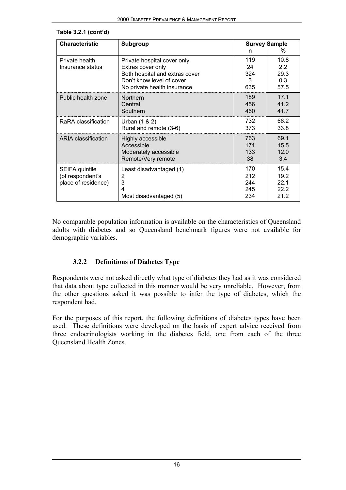| <b>Characteristic</b>                                     | <b>Subgroup</b>                                                                                                                                |                                   | <b>Survey Sample</b>                   |
|-----------------------------------------------------------|------------------------------------------------------------------------------------------------------------------------------------------------|-----------------------------------|----------------------------------------|
| Private health<br>Insurance status                        | Private hospital cover only<br>Extras cover only<br>Both hospital and extras cover<br>Don't know level of cover<br>No private health insurance | n<br>119<br>24<br>324<br>3<br>635 | ℅<br>10.8<br>22<br>29.3<br>0.3<br>57.5 |
| Public health zone                                        | Northern                                                                                                                                       | 189                               | 17.1                                   |
|                                                           | Central                                                                                                                                        | 456                               | 41.2                                   |
|                                                           | Southern                                                                                                                                       | 460                               | 41.7                                   |
| RaRA classification                                       | Urban (1 & 2)                                                                                                                                  | 732                               | 66.2                                   |
|                                                           | Rural and remote (3-6)                                                                                                                         | 373                               | 33.8                                   |
| ARIA classification                                       | Highly accessible                                                                                                                              | 763                               | 69.1                                   |
|                                                           | Accessible                                                                                                                                     | 171                               | 15.5                                   |
|                                                           | Moderately accessible                                                                                                                          | 133                               | 12.0                                   |
|                                                           | Remote/Very remote                                                                                                                             | 38                                | 3.4                                    |
| SEIFA quintile<br>(of respondent's<br>place of residence) | Least disadvantaged (1)<br>2<br>3<br>4<br>Most disadvantaged (5)                                                                               | 170<br>212<br>244<br>245<br>234   | 15.4<br>19.2<br>22.1<br>22.2<br>21.2   |

#### **Table 3.2.1 (cont'd)**

No comparable population information is available on the characteristics of Queensland adults with diabetes and so Queensland benchmark figures were not available for demographic variables.

#### **3.2.2 Definitions of Diabetes Type**

Respondents were not asked directly what type of diabetes they had as it was considered that data about type collected in this manner would be very unreliable. However, from the other questions asked it was possible to infer the type of diabetes, which the respondent had.

For the purposes of this report, the following definitions of diabetes types have been used. These definitions were developed on the basis of expert advice received from three endocrinologists working in the diabetes field, one from each of the three Queensland Health Zones.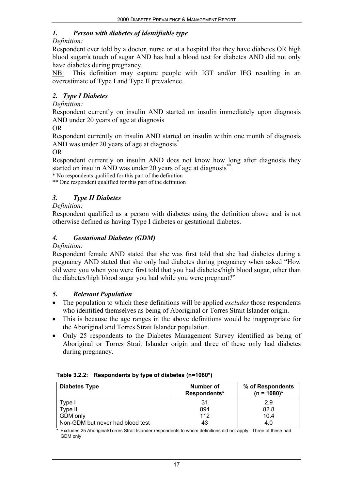# *1. Person with diabetes of identifiable type*

#### *Definition:*

Respondent ever told by a doctor, nurse or at a hospital that they have diabetes OR high blood sugar/a touch of sugar AND has had a blood test for diabetes AND did not only have diabetes during pregnancy.

NB: This definition may capture people with IGT and/or IFG resulting in an overestimate of Type I and Type II prevalence.

## *2. Type I Diabetes*

### *Definition:*

Respondent currently on insulin AND started on insulin immediately upon diagnosis AND under 20 years of age at diagnosis

OR

Respondent currently on insulin AND started on insulin within one month of diagnosis AND was under 20 years of age at diagnosis<sup>\*</sup>

#### OR

Respondent currently on insulin AND does not know how long after diagnosis they started on insulin AND was under 20 years of age at diagnosis<sup>\*\*</sup>.

\* No respondents qualified for this part of the definition

\*\* One respondent qualified for this part of the definition

## *3. Type II Diabetes*

### *Definition:*

Respondent qualified as a person with diabetes using the definition above and is not otherwise defined as having Type I diabetes or gestational diabetes.

## *4. Gestational Diabetes (GDM)*

#### *Definition:*

Respondent female AND stated that she was first told that she had diabetes during a pregnancy AND stated that she only had diabetes during pregnancy when asked "How old were you when you were first told that you had diabetes/high blood sugar, other than the diabetes/high blood sugar you had while you were pregnant?"

#### *5. Relevant Population*

- The population to which these definitions will be applied *excludes* those respondents who identified themselves as being of Aboriginal or Torres Strait Islander origin.
- This is because the age ranges in the above definitions would be inappropriate for the Aboriginal and Torres Strait Islander population.
- Only 25 respondents to the Diabetes Management Survey identified as being of Aboriginal or Torres Strait Islander origin and three of these only had diabetes during pregnancy.

| <b>Diabetes Type</b>             | Number of<br>Respondents* | % of Respondents<br>$(n = 1080)^*$ |
|----------------------------------|---------------------------|------------------------------------|
| 'ype I                           | 31                        | 2.9                                |
| Type II                          | 894                       | 82.8                               |
| GDM only                         | 112                       | 10.4                               |
| Non-GDM but never had blood test | 43                        | 4.0                                |

\* Excludes 25 Aboriginal/Torres Strait Islander respondents to whom definitions did not apply. Three of these had GDM only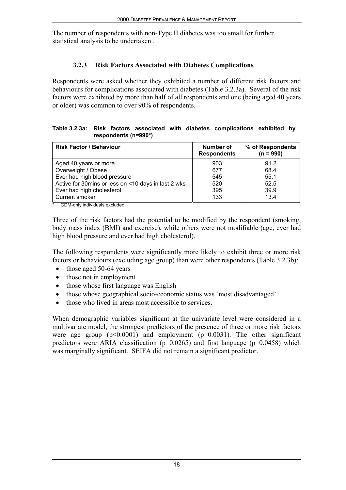The number of respondents with non-Type II diabetes was too small for further statistical analysis to be undertaken .

## **3.2.3 Risk Factors Associated with Diabetes Complications**

Respondents were asked whether they exhibited a number of different risk factors and behaviours for complications associated with diabetes (Table 3.2.3a). Several of the risk factors were exhibited by more than half of all respondents and one (being aged 40 years or older) was common to over 90% of respondents.

#### **Table 3.2.3a: Risk factors associated with diabetes complications exhibited by respondents (n=990\*)**

| <b>Risk Factor / Behaviour</b>                      | Number of<br><b>Respondents</b> | % of Respondents<br>$(n = 990)$ |
|-----------------------------------------------------|---------------------------------|---------------------------------|
| Aged 40 years or more                               | 903                             | 91.2                            |
| Overweight / Obese                                  | 677                             | 68.4                            |
| Ever had high blood pressure                        | 545                             | 55.1                            |
| Active for 30mins or less on <10 days in last 2 wks | 520                             | 52.5                            |
| Ever had high cholesterol                           | 395                             | 39.9                            |
| Current smoker                                      | 133                             | 13.4                            |

\* GDM-only individuals excluded

Three of the risk factors had the potential to be modified by the respondent (smoking, body mass index (BMI) and exercise), while others were not modifiable (age, ever had high blood pressure and ever had high cholesterol).

The following respondents were significantly more likely to exhibit three or more risk factors or behaviours (excluding age group) than were other respondents (Table 3.2.3b):

- those aged 50-64 years
- those not in employment
- those whose first language was English
- those whose geographical socio-economic status was 'most disadvantaged'
- those who lived in areas most accessible to services.

When demographic variables significant at the univariate level were considered in a multivariate model, the strongest predictors of the presence of three or more risk factors were age group  $(p<0.0001)$  and employment  $(p=0.0031)$ . The other significant predictors were ARIA classification ( $p=0.0265$ ) and first language ( $p=0.0458$ ) which was marginally significant. SEIFA did not remain a significant predictor.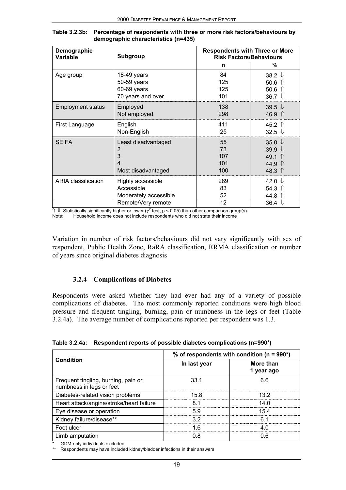| Demographic<br>Variable  | <b>Subgroup</b>                                          | <b>Respondents with Three or More</b><br><b>Risk Factors/Behaviours</b> |                                                                                                         |
|--------------------------|----------------------------------------------------------|-------------------------------------------------------------------------|---------------------------------------------------------------------------------------------------------|
|                          |                                                          | n                                                                       | ℅                                                                                                       |
| Age group                | $18-49$ years                                            | 84                                                                      | 38.2 $\downarrow$                                                                                       |
|                          | 50-59 years                                              | 125                                                                     | 50.6 $\hat{\mathbb{1}}$                                                                                 |
|                          | 60-69 years                                              | 125                                                                     | $50.6$ 1                                                                                                |
|                          | 70 years and over                                        | 101                                                                     | 36.7 $\downarrow$                                                                                       |
| <b>Employment status</b> | Employed                                                 | 138                                                                     | 39.5 $\downarrow$                                                                                       |
|                          | Not employed                                             | 298                                                                     | 46.9 1                                                                                                  |
| First Language           | English                                                  | 411                                                                     | 45.2 $\Uparrow$                                                                                         |
|                          | Non-English                                              | 25                                                                      | 32.5 $\downarrow$                                                                                       |
| <b>SEIFA</b>             | Least disadvantaged<br>2<br>3<br>4<br>Most disadvantaged | 55<br>73<br>107<br>101<br>100                                           | 35.0 $\sqrt{ }$<br>39.9 $\downarrow$<br>49.1 $\hat{\parallel}$<br>44.9<br>- 11<br>48.3 $\hat{\bm{\pi}}$ |
| ARIA classification      | Highly accessible                                        | 289                                                                     | 42.0 $\sqrt{ }$                                                                                         |
|                          | Accessible                                               | 83                                                                      | 54.3 $\hat{\mathbb{1}}$                                                                                 |
|                          | Moderately accessible                                    | 52                                                                      | 44.8 ↑                                                                                                  |
|                          | Remote/Very remote                                       | 12                                                                      | 36.4                                                                                                    |

**Table 3.2.3b: Percentage of respondents with three or more risk factors/behaviours by demographic characteristics (n=435)**

 $\Uparrow$   $\Downarrow$  Statistically significantly higher or lower ( $\chi^2$  test, p < 0.05) than other comparison group(s) Note: Household income does not include respondents who did not state their income

Variation in number of risk factors/behaviours did not vary significantly with sex of respondent, Public Health Zone, RaRA classification, RRMA classification or number of years since original diabetes diagnosis

## **3.2.4 Complications of Diabetes**

Respondents were asked whether they had ever had any of a variety of possible complications of diabetes. The most commonly reported conditions were high blood pressure and frequent tingling, burning, pain or numbness in the legs or feet (Table 3.2.4a). The average number of complications reported per respondent was 1.3.

|                                                                 | % of respondents with condition ( $n = 990$ <sup>*</sup> ) |                         |  |
|-----------------------------------------------------------------|------------------------------------------------------------|-------------------------|--|
| Condition                                                       | In last year                                               | More than<br>1 year ago |  |
| Frequent tingling, burning, pain or<br>numbness in legs or feet | 33.1                                                       | 66                      |  |
| Diabetes-related vision problems                                | 15 8                                                       | 13 2                    |  |
| Heart attack/angina/stroke/heart failure                        | 81                                                         | 14 N                    |  |
| Eye disease or operation                                        | 59                                                         | 154                     |  |
| Kidney failure/disease**                                        | 32                                                         |                         |  |
| Foot ulcer                                                      | 16                                                         |                         |  |
| Limb amputation                                                 | 0 8                                                        | ០ គ                     |  |

**Table 3.2.4a: Respondent reports of possible diabetes complications (n=990\*)**

GDM-only individuals excluded

Respondents may have included kidney/bladder infections in their answers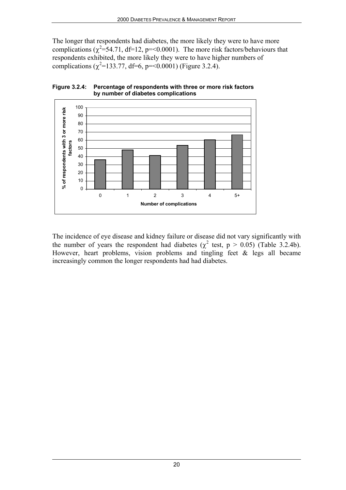The longer that respondents had diabetes, the more likely they were to have more complications ( $\chi^2$ =54.71, df=12, p=<0.0001). The more risk factors/behaviours that respondents exhibited, the more likely they were to have higher numbers of complications ( $\chi^2$ =133.77, df=6, p=<0.0001) (Figure 3.2.4).





The incidence of eye disease and kidney failure or disease did not vary significantly with the number of years the respondent had diabetes ( $\chi^2$  test,  $p > 0.05$ ) (Table 3.2.4b). However, heart problems, vision problems and tingling feet & legs all became increasingly common the longer respondents had had diabetes.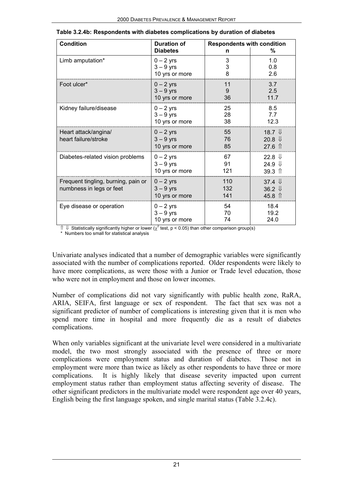| <b>Condition</b>                    | <b>Duration of</b> | <b>Respondents with condition</b> |                         |
|-------------------------------------|--------------------|-----------------------------------|-------------------------|
|                                     | <b>Diabetes</b>    | n                                 | %                       |
| Limb amputation*                    | $0 - 2$ yrs        | 3                                 | 1.0                     |
|                                     | $3 - 9$ yrs        | 3                                 | 0.8<br>2.6              |
|                                     | 10 yrs or more     |                                   |                         |
| Foot ulcer*                         | $0 - 2$ vrs        | 11                                | 3.7                     |
|                                     | $3 - 9$ yrs        | 9                                 | 2.5<br>11.7             |
|                                     | 10 yrs or more     | 36                                |                         |
| Kidney failure/disease              | $0 - 2$ yrs        | 25                                | 8.5                     |
|                                     | $3 - 9$ yrs        | 28                                | 7.7                     |
|                                     | 10 yrs or more     | 38                                | 12.3                    |
| Heart attack/angina/                | $0 - 2$ yrs        | 55                                | 18.7 $\mathbb{U}$       |
| heart failure/stroke                | $3 - 9$ yrs        | 76                                | 20.8 $\downarrow$       |
|                                     | 10 yrs or more     | 85                                | $27.6$ $\uparrow$       |
| Diabetes-related vision problems    | $0 - 2$ yrs        | 67                                | 22.8 $\downarrow$       |
|                                     | $3 - 9$ yrs        | 91                                | 24.9 $\Downarrow$       |
|                                     | 10 yrs or more     | 121                               | $39.3$ $\uparrow$       |
| Frequent tingling, burning, pain or | $0 - 2$ yrs        | 110                               | 37.4 $\Downarrow$       |
| numbness in legs or feet            | $3 - 9$ yrs        | 132                               | 36.2 $\downarrow$       |
|                                     | 10 yrs or more     | 141                               | 45.8 $\hat{\mathbb{I}}$ |
| Eye disease or operation            | $0 - 2$ yrs        | 54                                | 18.4                    |
|                                     | $3 - 9$ yrs        | 70                                | 19.2                    |
|                                     | 10 yrs or more     | 74                                | 24.0                    |

| Table 3.2.4b: Respondents with diabetes complications by duration of diabetes |  |
|-------------------------------------------------------------------------------|--|
|-------------------------------------------------------------------------------|--|

 $\|$  ↓ Statistically significantly higher or lower ( $\chi^2$  test, p < 0.05) than other comparison group(s) \* Numbers too small for statistical analysis

Univariate analyses indicated that a number of demographic variables were significantly

associated with the number of complications reported. Older respondents were likely to have more complications, as were those with a Junior or Trade level education, those who were not in employment and those on lower incomes.

Number of complications did not vary significantly with public health zone, RaRA, ARIA, SEIFA, first language or sex of respondent. The fact that sex was not a significant predictor of number of complications is interesting given that it is men who spend more time in hospital and more frequently die as a result of diabetes complications.

When only variables significant at the univariate level were considered in a multivariate model, the two most strongly associated with the presence of three or more complications were employment status and duration of diabetes. Those not in employment were more than twice as likely as other respondents to have three or more complications. It is highly likely that disease severity impacted upon current employment status rather than employment status affecting severity of disease. The other significant predictors in the multivariate model were respondent age over 40 years, English being the first language spoken, and single marital status (Table 3.2.4c).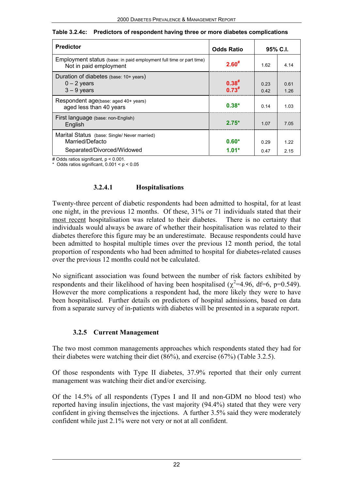| <b>Predictor</b>                                                                              | <b>Odds Ratio</b>        |              | $95\%$ C.I.  |
|-----------------------------------------------------------------------------------------------|--------------------------|--------------|--------------|
| Employment status (base: in paid employment full time or part time)<br>Not in paid employment | $2.60^{#}$               | 1.62         | 4 14         |
| Duration of diabetes (base: 10+ years)<br>$0 - 2$ years<br>$3 - 9$ years                      | $0.38^{#}$<br>$0.73^{#}$ | 0.23<br>0.42 | 0.61<br>1 26 |
| Respondent age(base: aged 40+ years)<br>aged less than 40 years                               | $0.38*$                  | 0.14         | 1 03         |
| First language (base: non-English)<br>English                                                 | $2.75*$                  | 107          | 7 0 5        |
| Marital Status (base: Single/ Never married)<br>Married/Defacto<br>Separated/Divorced/Widowed | $0.60*$<br>$1.01*$       | 0.29<br>0.47 | 1 22<br>2 15 |

|  | Table 3.2.4c: Predictors of respondent having three or more diabetes complications |
|--|------------------------------------------------------------------------------------|
|--|------------------------------------------------------------------------------------|

# Odds ratios significant, p < 0.001.

Odds ratios significant,  $0.001 < p < 0.05$ 

#### **3.2.4.1 Hospitalisations**

Twenty-three percent of diabetic respondents had been admitted to hospital, for at least one night, in the previous 12 months. Of these, 31% or 71 individuals stated that their most recent hospitalisation was related to their diabetes. There is no certainty that individuals would always be aware of whether their hospitalisation was related to their diabetes therefore this figure may be an underestimate. Because respondents could have been admitted to hospital multiple times over the previous 12 month period, the total proportion of respondents who had been admitted to hospital for diabetes-related causes over the previous 12 months could not be calculated.

No significant association was found between the number of risk factors exhibited by respondents and their likelihood of having been hospitalised ( $\chi^2$ =4.96, df=6, p=0.549). However the more complications a respondent had, the more likely they were to have been hospitalised. Further details on predictors of hospital admissions, based on data from a separate survey of in-patients with diabetes will be presented in a separate report.

#### **3.2.5 Current Management**

The two most common managements approaches which respondents stated they had for their diabetes were watching their diet (86%), and exercise (67%) (Table 3.2.5).

Of those respondents with Type II diabetes, 37.9% reported that their only current management was watching their diet and/or exercising.

Of the 14.5% of all respondents (Types I and II and non-GDM no blood test) who reported having insulin injections, the vast majority (94.4%) stated that they were very confident in giving themselves the injections. A further 3.5% said they were moderately confident while just 2.1% were not very or not at all confident.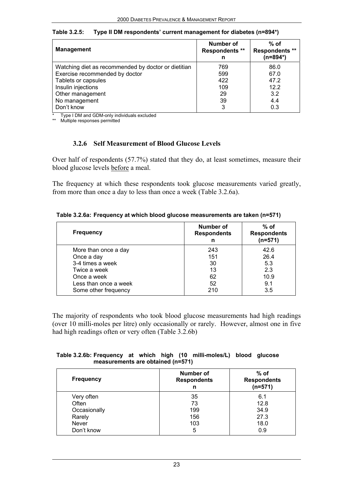| <b>Management</b>                                   | Number of<br><b>Respondents **</b><br>n | $%$ of<br><b>Respondents **</b><br>$(n=894*)$ |
|-----------------------------------------------------|-----------------------------------------|-----------------------------------------------|
| Watching diet as recommended by doctor or dietitian | 769                                     | 86.0                                          |
| Exercise recommended by doctor                      | 599                                     | 67.0                                          |
| Tablets or capsules                                 | 422                                     | 47.2                                          |
| Insulin injections                                  | 109                                     | 12.2                                          |
| Other management                                    | 29                                      | 3.2                                           |
| No management                                       | 39                                      | 4.4                                           |
| Don't know                                          | 3                                       | 0.3                                           |

**Table 3.2.5: Type II DM respondents' current management for diabetes (n=894\*)**

Type I DM and GDM-only individuals excluded

\*\* Multiple responses permitted

#### **3.2.6 Self Measurement of Blood Glucose Levels**

Over half of respondents (57.7%) stated that they do, at least sometimes, measure their blood glucose levels before a meal.

The frequency at which these respondents took glucose measurements varied greatly, from more than once a day to less than once a week (Table 3.2.6a).

|  | Table 3.2.6a: Frequency at which blood glucose measurements are taken (n=571) |  |  |  |  |
|--|-------------------------------------------------------------------------------|--|--|--|--|
|--|-------------------------------------------------------------------------------|--|--|--|--|

| <b>Frequency</b>      | <b>Number of</b><br><b>Respondents</b><br>n | $%$ of<br><b>Respondents</b><br>$(n=571)$ |
|-----------------------|---------------------------------------------|-------------------------------------------|
| More than once a day  | 243                                         | 42.6                                      |
| Once a day            | 151                                         | 26.4                                      |
| 3-4 times a week      | 30                                          | 5.3                                       |
| Twice a week          | 13                                          | 2.3                                       |
| Once a week           | 62                                          | 10.9                                      |
| Less than once a week | 52                                          | 9.1                                       |
| Some other frequency  | 210                                         | 3.5                                       |

The majority of respondents who took blood glucose measurements had high readings (over 10 milli-moles per litre) only occasionally or rarely. However, almost one in five had high readings often or very often (Table 3.2.6b)

#### **Table 3.2.6b: Frequency at which high (10 milli-moles/L) blood glucose measurements are obtained (n=571)**

| <b>Frequency</b> | <b>Number of</b><br><b>Respondents</b><br>n | % of<br><b>Respondents</b><br>$(n=571)$ |
|------------------|---------------------------------------------|-----------------------------------------|
| Very often       | 35                                          | 6.1                                     |
| Often            | 73                                          | 12.8                                    |
| Occasionally     | 199                                         | 34.9                                    |
| Rarely           | 156                                         | 27.3                                    |
| Never            | 103                                         | 18.0                                    |
| Don't know       | 5                                           | 0.9                                     |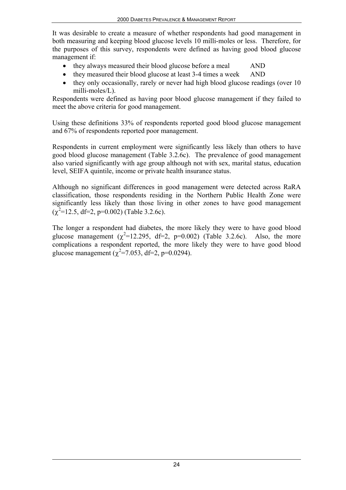It was desirable to create a measure of whether respondents had good management in both measuring and keeping blood glucose levels 10 milli-moles or less. Therefore, for the purposes of this survey, respondents were defined as having good blood glucose management if:

- they always measured their blood glucose before a meal AND
- they measured their blood glucose at least 3-4 times a week AND
- they only occasionally, rarely or never had high blood glucose readings (over 10 milli-moles/L).

Respondents were defined as having poor blood glucose management if they failed to meet the above criteria for good management.

Using these definitions 33% of respondents reported good blood glucose management and 67% of respondents reported poor management.

Respondents in current employment were significantly less likely than others to have good blood glucose management (Table 3.2.6c). The prevalence of good management also varied significantly with age group although not with sex, marital status, education level, SEIFA quintile, income or private health insurance status.

Although no significant differences in good management were detected across RaRA classification, those respondents residing in the Northern Public Health Zone were significantly less likely than those living in other zones to have good management  $(\chi^2$ =12.5, df=2, p=0.002) (Table 3.2.6c).

The longer a respondent had diabetes, the more likely they were to have good blood glucose management  $(\chi^2=12.295, df=2, p=0.002)$  (Table 3.2.6c). Also, the more complications a respondent reported, the more likely they were to have good blood glucose management ( $\chi^2$ =7.053, df=2, p=0.0294).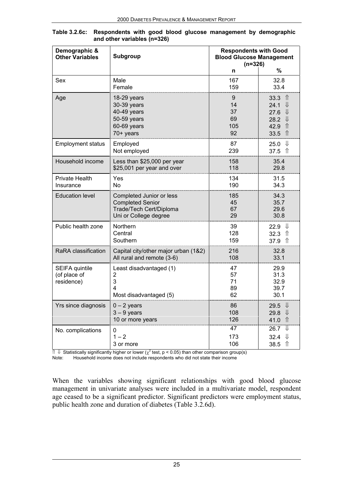| Demographic &<br><b>Other Variables</b>      | Subgroup                                                                                                | <b>Respondents with Good</b><br><b>Blood Glucose Management</b><br>$(n=326)$ |                                                                                                                  |  |  |
|----------------------------------------------|---------------------------------------------------------------------------------------------------------|------------------------------------------------------------------------------|------------------------------------------------------------------------------------------------------------------|--|--|
|                                              |                                                                                                         | n                                                                            | %                                                                                                                |  |  |
| Sex                                          | Male<br>Female                                                                                          | 167<br>159                                                                   | 32.8<br>33.4                                                                                                     |  |  |
| Age                                          | 18-29 years<br>30-39 years<br>40-49 years<br>50-59 years<br>60-69 years<br>70+ years                    | 9<br>14<br>37<br>69<br>105<br>92                                             | 33.3<br>⇑<br>⇓<br>24.1<br>⇓<br>27.6<br>$\downarrow$<br>28.2<br>$\hat{\Pi}$<br>42.9<br>$\hat{\mathbb{r}}$<br>33.5 |  |  |
| <b>Employment status</b>                     | Employed<br>Not employed                                                                                | 87<br>239                                                                    | $\bigcup$<br>25.0<br>$\hat{\Pi}$<br>37.5                                                                         |  |  |
| Household income                             | Less than \$25,000 per year<br>\$25,001 per year and over                                               | 158<br>118                                                                   | 35.4<br>29.8                                                                                                     |  |  |
| <b>Private Health</b><br>Insurance           | Yes<br>No.                                                                                              | 134<br>190                                                                   | 31.5<br>34.3                                                                                                     |  |  |
| <b>Education level</b>                       | Completed Junior or less<br><b>Completed Senior</b><br>Trade/Tech Cert/Diploma<br>Uni or College degree | 185<br>45<br>67<br>29                                                        | 34.3<br>35.7<br>29.6<br>30.8                                                                                     |  |  |
| Public health zone                           | <b>Northern</b><br>Central<br>Southern                                                                  | 39<br>128<br>159                                                             | ₩<br>22.9<br>⇑<br>32.3<br>$\hat{\mathbb{r}}$<br>37.9                                                             |  |  |
| RaRA classification                          | Capital city/other major urban (1&2)<br>All rural and remote (3-6)                                      | 216<br>108                                                                   | 32.8<br>33.1                                                                                                     |  |  |
| SEIFA quintile<br>(of place of<br>residence) | Least disadvantaged (1)<br>2<br>3<br>4<br>Most disadvantaged (5)                                        | 47<br>57<br>71<br>89<br>62                                                   | 29.9<br>31.3<br>32.9<br>39.7<br>30.1                                                                             |  |  |
| Yrs since diagnosis                          | $0 - 2$ years<br>$3 - 9$ years<br>10 or more years                                                      | 86<br>108<br>126                                                             | ⇓<br>29.5<br>⇓<br>29.8<br>$\hat{\Pi}$<br>41.0                                                                    |  |  |
| No. complications                            | 0<br>$1 - 2$<br>3 or more                                                                               | 47<br>173<br>106                                                             | ⇓<br>26.7<br>╨<br>32.4<br>$\hat{\Pi}$<br>38.5                                                                    |  |  |

| Table 3.2.6c: Respondents with good blood glucose management by demographic |  |
|-----------------------------------------------------------------------------|--|
| and other variables (n=326)                                                 |  |

 $\|$  ↓ Statistically significantly higher or lower ( $\chi^2$  test, p < 0.05) than other comparison group(s) Note: Household income does not include respondents who did not state their income

When the variables showing significant relationships with good blood glucose management in univariate analyses were included in a multivariate model, respondent age ceased to be a significant predictor. Significant predictors were employment status, public health zone and duration of diabetes (Table 3.2.6d).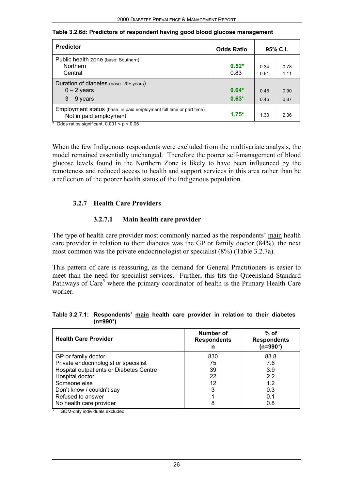| <b>Predictor</b>                                                                              | <b>Odds Ratio</b>  |              | 95% C.I.      |
|-----------------------------------------------------------------------------------------------|--------------------|--------------|---------------|
| Public health zone (base: Southern)<br><b>Northern</b><br>Central                             | $0.52*$<br>0.83    | 0 34<br>0.61 | 0.78<br>1 1 1 |
| Duration of diabetes (base: 20+ years)<br>$0 - 2$ years<br>$3 - 9$ years                      | $0.64*$<br>$0.63*$ | 0.45<br>0.46 | 0.90<br>0.87  |
| Employment status (base: in paid employment full time or part time)<br>Not in paid employment | $1.75*$            | 1.30         | 2.36          |

**Table 3.2.6d: Predictors of respondent having good blood glucose management**

\* Odds ratios significant,  $0.001 < p < 0.05$ 

When the few Indigenous respondents were excluded from the multivariate analysis, the model remained essentially unchanged. Therefore the poorer self-management of blood glucose levels found in the Northern Zone is likely to have been influenced by the remoteness and reduced access to health and support services in this area rather than be a reflection of the poorer health status of the Indigenous population.

#### **3.2.7 Health Care Providers**

#### **3.2.7.1 Main health care provider**

The type of health care provider most commonly named as the respondents' main health care provider in relation to their diabetes was the GP or family doctor (84%), the next most common was the private endocrinologist or specialist (8%) (Table 3.2.7a).

This pattern of care is reassuring, as the demand for General Practitioners is easier to meet than the need for specialist services. Further, this fits the Queensland Standard Pathways of Care<sup>5</sup> where the primary coordinator of health is the Primary Health Care worker.

#### **Table 3.2.7.1: Respondents' main health care provider in relation to their diabetes (n=990\*)**

| <b>Health Care Provider</b>                          | Number of<br><b>Respondents</b><br>n | $%$ of<br><b>Respondents</b><br>(n=990*) |
|------------------------------------------------------|--------------------------------------|------------------------------------------|
| GP or family doctor                                  | 830                                  | 83.8                                     |
| Private endocrinologist or specialist                | 75                                   | 7.6                                      |
| Hospital outpatients or Diabetes Centre              | 39                                   | 3.9                                      |
| Hospital doctor                                      | 22                                   | 2.2                                      |
| Someone else                                         | 12                                   | 1.2                                      |
| Don't know / couldn't say                            | 3                                    | 0.3                                      |
| Refused to answer                                    |                                      | 0.1                                      |
| No health care provider<br>_____ _ _ _ _ _ _ _ _ _ _ | 8                                    | 0.8                                      |

GDM-only individuals excluded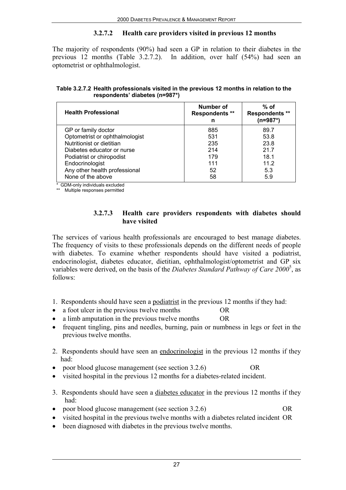## **3.2.7.2 Health care providers visited in previous 12 months**

The majority of respondents (90%) had seen a GP in relation to their diabetes in the previous 12 months (Table 3.2.7.2). In addition, over half (54%) had seen an optometrist or ophthalmologist.

**Table 3.2.7.2 Health professionals visited in the previous 12 months in relation to the respondents' diabetes (n=987\*)**

| <b>Health Professional</b>     | Number of<br><b>Respondents **</b><br>n | $%$ of<br><b>Respondents **</b><br>(n=987*) |
|--------------------------------|-----------------------------------------|---------------------------------------------|
| GP or family doctor            | 885                                     | 89.7                                        |
| Optometrist or ophthalmologist | 531                                     | 53.8                                        |
| Nutritionist or dietitian      | 235                                     | 23.8                                        |
| Diabetes educator or nurse     | 214                                     | 21.7                                        |
| Podiatrist or chiropodist      | 179                                     | 18.1                                        |
| Endocrinologist                | 111                                     | 11.2                                        |
| Any other health professional  | 52                                      | 5.3                                         |
| None of the above              | 58                                      | 5.9                                         |

\* GDM-only individuals excluded

\*\* Multiple responses permitted

#### **3.2.7.3 Health care providers respondents with diabetes should have visited**

The services of various health professionals are encouraged to best manage diabetes. The frequency of visits to these professionals depends on the different needs of people with diabetes. To examine whether respondents should have visited a podiatrist, endocrinologist, diabetes educator, dietitian, ophthalmologist/optometrist and GP six variables were derived, on the basis of the *Diabetes Standard Pathway of Care 2000*<sup>5</sup> , as follows:

- 1. Respondents should have seen a podiatrist in the previous 12 months if they had:
- a foot ulcer in the previous twelve months OR
- a limb amputation in the previous twelve months OR
- frequent tingling, pins and needles, burning, pain or numbness in legs or feet in the previous twelve months.
- 2. Respondents should have seen an endocrinologist in the previous 12 months if they had:
- poor blood glucose management (see section 3.2.6) OR
- visited hospital in the previous 12 months for a diabetes-related incident.
- 3. Respondents should have seen a diabetes educator in the previous 12 months if they had:
- poor blood glucose management (see section 3.2.6) OR
- visited hospital in the previous twelve months with a diabetes related incident OR
- been diagnosed with diabetes in the previous twelve months.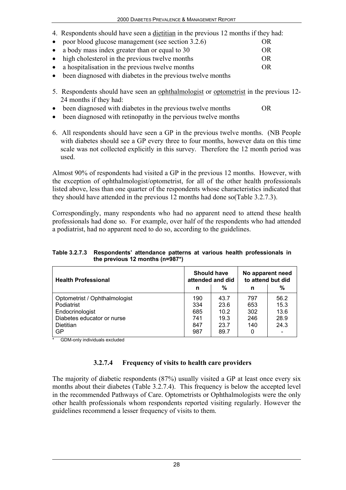4. Respondents should have seen a dietitian in the previous 12 months if they had:

| • poor blood glucose management (see section 3.2.6) | OR  |
|-----------------------------------------------------|-----|
| • a body mass index greater than or equal to 30     | OR  |
| • high cholesterol in the previous twelve months    | OR  |
| • a hospitalisation in the previous twelve months   | OR. |
|                                                     |     |

- been diagnosed with diabetes in the previous twelve months
- 5. Respondents should have seen an ophthalmologist or optometrist in the previous 12- 24 months if they had:
- been diagnosed with diabetes in the previous twelve months OR
- been diagnosed with retinopathy in the pervious twelve months
- 6. All respondents should have seen a GP in the previous twelve months. (NB People with diabetes should see a GP every three to four months, however data on this time scale was not collected explicitly in this survey. Therefore the 12 month period was used.

Almost 90% of respondents had visited a GP in the previous 12 months. However, with the exception of ophthalmologist/optometrist, for all of the other health professionals listed above, less than one quarter of the respondents whose characteristics indicated that they should have attended in the previous 12 months had done so(Table 3.2.7.3).

Correspondingly, many respondents who had no apparent need to attend these health professionals had done so. For example, over half of the respondents who had attended a podiatrist, had no apparent need to do so, according to the guidelines.

#### **Table 3.2.7.3 Respondents' attendance patterns at various health professionals in the previous 12 months (n=987\*)**

| <b>Health Professional</b>                                                                                | <b>Should have</b>              | attended and did                     | No apparent need<br>to attend but did |                                      |
|-----------------------------------------------------------------------------------------------------------|---------------------------------|--------------------------------------|---------------------------------------|--------------------------------------|
|                                                                                                           | n                               | %                                    | n                                     | %                                    |
| Optometrist / Ophthalmologist<br>Podiatrist<br>Endocrinologist<br>Diabetes educator or nurse<br>Dietitian | 190<br>334<br>685<br>741<br>847 | 43.7<br>23.6<br>10.2<br>19.3<br>23.7 | 797<br>653<br>302<br>246<br>140       | 56.2<br>15.3<br>13.6<br>28.9<br>24.3 |
| GP                                                                                                        | 987                             | 89.7                                 |                                       |                                      |

GDM-only individuals excluded

## **3.2.7.4 Frequency of visits to health care providers**

The majority of diabetic respondents (87%) usually visited a GP at least once every six months about their diabetes (Table 3.2.7.4). This frequency is below the accepted level in the recommended Pathways of Care. Optometrists or Ophthalmologists were the only other health professionals whom respondents reported visiting regularly. However the guidelines recommend a lesser frequency of visits to them.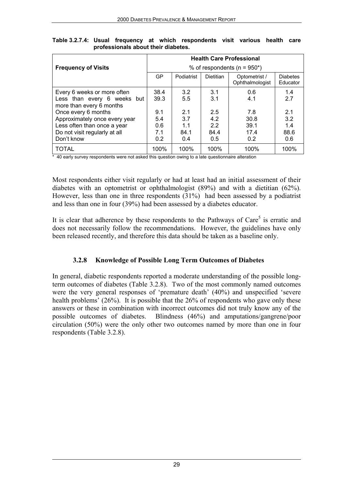|                               |                                 |            | <b>Health Care Professional</b> |                                  |                             |  |
|-------------------------------|---------------------------------|------------|---------------------------------|----------------------------------|-----------------------------|--|
| <b>Frequency of Visits</b>    | % of respondents ( $n = 950$ *) |            |                                 |                                  |                             |  |
|                               | <b>GP</b>                       | Podiatrist | <b>Dietitian</b>                | Optometrist /<br>Ophthalmologist | <b>Diabetes</b><br>Educator |  |
| Every 6 weeks or more often   | 38.4                            | 3.2        | 3.1                             | 0.6                              | 1.4                         |  |
| Less than every 6 weeks but   | 39.3                            | 5.5        | 3.1                             | 4.1                              | 2.7                         |  |
| more than every 6 months      |                                 |            |                                 |                                  |                             |  |
| Once every 6 months           | 9.1                             | 2.1        | 2.5                             | 7.8                              | 2.1                         |  |
| Approximately once every year | 5.4                             | 3.7        | 4.2                             | 30.8                             | 3.2                         |  |
| Less often than once a year   | 0.6                             | 1.1        | 2.2                             | 39.1                             | 1.4                         |  |
| Do not visit regularly at all | 7.1                             | 84.1       | 84.4                            | 17.4                             | 88.6                        |  |
| Don't know                    | 0.2                             | 0.4        | 0.5                             | 0.2                              | 0.6                         |  |
| <b>TOTAL</b>                  | 100%                            | 100%       | 100%                            | 100%                             | 100%                        |  |

**Table 3.2.7.4: Usual frequency at which respondents visit various health care professionals about their diabetes.**

 $*$  40 early survey respondents were not asked this question owing to a late questionnaire alteration

Most respondents either visit regularly or had at least had an initial assessment of their diabetes with an optometrist or ophthalmologist (89%) and with a dietitian (62%). However, less than one in three respondents (31%) had been assessed by a podiatrist and less than one in four (39%) had been assessed by a diabetes educator.

It is clear that adherence by these respondents to the Pathways of Care<sup>5</sup> is erratic and does not necessarily follow the recommendations. However, the guidelines have only been released recently, and therefore this data should be taken as a baseline only.

#### **3.2.8 Knowledge of Possible Long Term Outcomes of Diabetes**

In general, diabetic respondents reported a moderate understanding of the possible longterm outcomes of diabetes (Table 3.2.8). Two of the most commonly named outcomes were the very general responses of 'premature death' (40%) and unspecified 'severe health problems' (26%). It is possible that the 26% of respondents who gave only these answers or these in combination with incorrect outcomes did not truly know any of the possible outcomes of diabetes. Blindness (46%) and amputations/gangrene/poor circulation (50%) were the only other two outcomes named by more than one in four respondents (Table 3.2.8).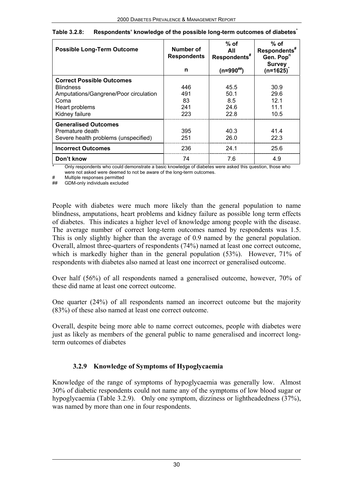| <b>Possible Long-Term Outcome</b>     | Number of<br><b>Respondents</b><br>n | $%$ of<br>All<br>Respondents <sup>#</sup><br>$(n=990^{#})$ | $%$ of<br>Respondents <sup>#</sup><br>Gen. Pop <sup>n</sup><br><b>Survey</b><br>$(n=1625)$ |
|---------------------------------------|--------------------------------------|------------------------------------------------------------|--------------------------------------------------------------------------------------------|
| <b>Correct Possible Outcomes</b>      |                                      |                                                            |                                                                                            |
| <b>Blindness</b>                      | 446                                  | 45.5                                                       | 30.9                                                                                       |
| Amputations/Gangrene/Poor circulation | 491                                  | 50.1                                                       | 29.6                                                                                       |
| Coma                                  | 83                                   | 8.5                                                        | 121                                                                                        |
| Heart problems                        | 241                                  | 24.6                                                       | 111                                                                                        |
| Kidney failure                        | 223                                  | 22.8                                                       | 10.5                                                                                       |
| <b>Generalised Outcomes</b>           |                                      |                                                            |                                                                                            |
| Premature death                       | 395                                  | 40.3                                                       | 41.4                                                                                       |
| Severe health problems (unspecified)  | 251                                  | 26.0                                                       | 22.3                                                                                       |
| <b>Incorrect Outcomes</b>             | 236                                  | 24.1                                                       | 25.6                                                                                       |
| Don't know                            | 74                                   | 7.6                                                        | 4.9                                                                                        |

| Table 3.2.8: | Respondents' knowledge of the possible long-term outcomes of diabetes |
|--------------|-----------------------------------------------------------------------|
|--------------|-----------------------------------------------------------------------|

Only respondents who could demonstrate a basic knowledge of diabetes were asked this question, those who were not asked were deemed to not be aware of the long-term outcomes.

# Multiple responses permitted<br>## GDM-only individuals exclude

GDM-only individuals excluded

People with diabetes were much more likely than the general population to name blindness, amputations, heart problems and kidney failure as possible long term effects of diabetes. This indicates a higher level of knowledge among people with the disease. The average number of correct long-term outcomes named by respondents was 1.5. This is only slightly higher than the average of 0.9 named by the general population. Overall, almost three-quarters of respondents (74%) named at least one correct outcome, which is markedly higher than in the general population (53%). However, 71% of respondents with diabetes also named at least one incorrect or generalised outcome.

Over half (56%) of all respondents named a generalised outcome, however, 70% of these did name at least one correct outcome.

One quarter (24%) of all respondents named an incorrect outcome but the majority (83%) of these also named at least one correct outcome.

Overall, despite being more able to name correct outcomes, people with diabetes were just as likely as members of the general public to name generalised and incorrect longterm outcomes of diabetes

## **3.2.9 Knowledge of Symptoms of Hypoglycaemia**

Knowledge of the range of symptoms of hypoglycaemia was generally low. Almost 30% of diabetic respondents could not name any of the symptoms of low blood sugar or hypoglycaemia (Table 3.2.9). Only one symptom, dizziness or lightheadedness (37%), was named by more than one in four respondents.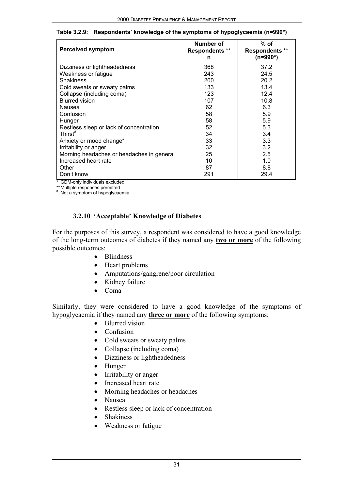| <b>Perceived symptom</b>                      | Number of<br><b>Respondents **</b><br>n | % of<br><b>Respondents **</b><br>(n=990*) |
|-----------------------------------------------|-----------------------------------------|-------------------------------------------|
| Dizziness or lightheadedness                  | 368                                     | 37.2                                      |
| Weakness or fatigue                           | 243                                     | 24.5                                      |
| <b>Shakiness</b>                              | 200                                     | 20.2                                      |
| Cold sweats or sweaty palms                   | 133                                     | 13.4                                      |
| Collapse (including coma)                     | 123                                     | 12.4                                      |
| <b>Blurred vision</b>                         | 107                                     | 10.8                                      |
| Nausea                                        | 62                                      | 6.3                                       |
| Confusion                                     | 58                                      | 5.9                                       |
| Hunger                                        | 58                                      | 5.9                                       |
| Restless sleep or lack of concentration       | 52                                      | 5.3                                       |
| Thirst $#$                                    | 34                                      | 3.4                                       |
| Anxiety or mood change <sup>#</sup>           | 33                                      | 3.3                                       |
| Irritability or anger                         | 32                                      | 3.2                                       |
| Morning headaches or headaches in general     | 25                                      | 2.5                                       |
| Increased heart rate                          | 10                                      | 1.0                                       |
| Other                                         | 87                                      | 8.8                                       |
| Don't know<br>* CDM-only individuale excluded | 291                                     | 29.4                                      |

#### **Table 3.2.9: Respondents' knowledge of the symptoms of hypoglycaemia (n=990\*)**

\* GDM-only individuals excluded

\*\*Multiple responses permitted # Not a symptom of hypoglycaemia

### **3.2.10 'Acceptable' Knowledge of Diabetes**

For the purposes of this survey, a respondent was considered to have a good knowledge of the long-term outcomes of diabetes if they named any **two or more** of the following possible outcomes:

- Blindness
- Heart problems
- Amputations/gangrene/poor circulation
- Kidney failure
- Coma

Similarly, they were considered to have a good knowledge of the symptoms of hypoglycaemia if they named any **three or more** of the following symptoms:

- Blurred vision
- Confusion
- Cold sweats or sweaty palms
- Collapse (including coma)
- Dizziness or lightheadedness
- Hunger
- Irritability or anger
- Increased heart rate
- Morning headaches or headaches
- Nausea
- Restless sleep or lack of concentration
- Shakiness
- Weakness or fatigue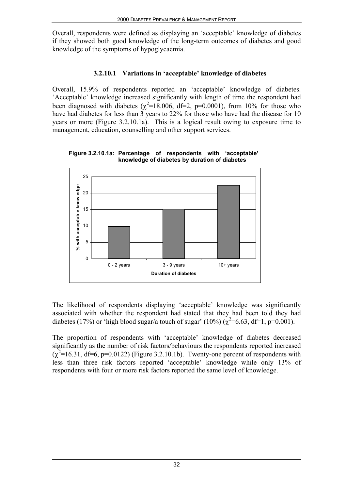Overall, respondents were defined as displaying an 'acceptable' knowledge of diabetes if they showed both good knowledge of the long-term outcomes of diabetes and good knowledge of the symptoms of hypoglycaemia.

## **3.2.10.1 Variations in 'acceptable' knowledge of diabetes**

Overall, 15.9% of respondents reported an 'acceptable' knowledge of diabetes. 'Acceptable' knowledge increased significantly with length of time the respondent had been diagnosed with diabetes ( $\chi^2$ =18.006, df=2, p=0.0001), from 10% for those who have had diabetes for less than 3 years to 22% for those who have had the disease for 10 years or more (Figure 3.2.10.1a). This is a logical result owing to exposure time to management, education, counselling and other support services.



**Figure 3.2.10.1a: Percentage of respondents with 'acceptable' knowledge of diabetes by duration of diabetes**

The likelihood of respondents displaying 'acceptable' knowledge was significantly associated with whether the respondent had stated that they had been told they had diabetes (17%) or 'high blood sugar/a touch of sugar' (10%) ( $\chi^2$ =6.63, df=1, p=0.001).

The proportion of respondents with 'acceptable' knowledge of diabetes decreased significantly as the number of risk factors/behaviours the respondents reported increased  $(\chi^2=16.31, df=6, p=0.0122)$  (Figure 3.2.10.1b). Twenty-one percent of respondents with less than three risk factors reported 'acceptable' knowledge while only 13% of respondents with four or more risk factors reported the same level of knowledge.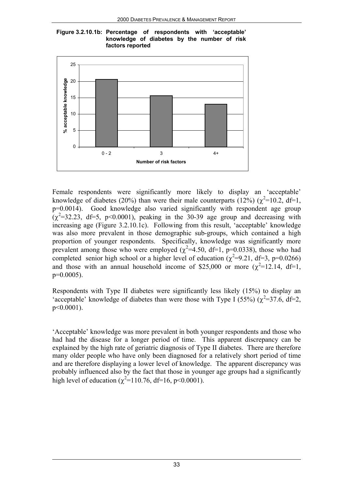



Female respondents were significantly more likely to display an 'acceptable' knowledge of diabetes (20%) than were their male counterparts (12%) ( $\chi^2$ =10.2, df=1,  $p=0.0014$ ). Good knowledge also varied significantly with respondent age group  $(\chi^2=32.23, df=5, p<0.0001)$ , peaking in the 30-39 age group and decreasing with increasing age (Figure 3.2.10.1c). Following from this result, 'acceptable' knowledge was also more prevalent in those demographic sub-groups, which contained a high proportion of younger respondents. Specifically, knowledge was significantly more prevalent among those who were employed ( $\chi^2$ =4.50, df=1, p=0.0338), those who had completed senior high school or a higher level of education ( $\chi^2$ =9.21, df=3, p=0.0266) and those with an annual household income of \$25,000 or more  $(\chi^2=12.14, df=1,$ p=0.0005).

Respondents with Type II diabetes were significantly less likely (15%) to display an 'acceptable' knowledge of diabetes than were those with Type I (55%) ( $\chi^2$ =37.6, df=2, p<0.0001).

'Acceptable' knowledge was more prevalent in both younger respondents and those who had had the disease for a longer period of time. This apparent discrepancy can be explained by the high rate of geriatric diagnosis of Type II diabetes. There are therefore many older people who have only been diagnosed for a relatively short period of time and are therefore displaying a lower level of knowledge. The apparent discrepancy was probably influenced also by the fact that those in younger age groups had a significantly high level of education ( $\chi^2$ =110.76, df=16, p<0.0001).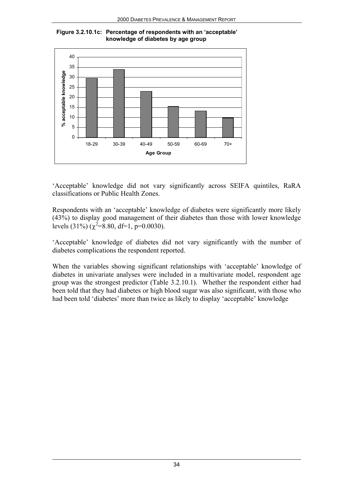



'Acceptable' knowledge did not vary significantly across SEIFA quintiles, RaRA classifications or Public Health Zones.

Respondents with an 'acceptable' knowledge of diabetes were significantly more likely (43%) to display good management of their diabetes than those with lower knowledge levels (31%) ( $\chi^2$ =8.80, df=1, p=0.0030).

'Acceptable' knowledge of diabetes did not vary significantly with the number of diabetes complications the respondent reported.

When the variables showing significant relationships with 'acceptable' knowledge of diabetes in univariate analyses were included in a multivariate model, respondent age group was the strongest predictor (Table 3.2.10.1). Whether the respondent either had been told that they had diabetes or high blood sugar was also significant, with those who had been told 'diabetes' more than twice as likely to display 'acceptable' knowledge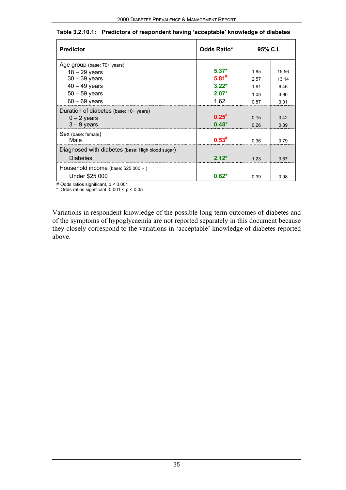| <b>Predictor</b>                                                    | <b>Odds Ratio*</b> | 95% C.I. |       |
|---------------------------------------------------------------------|--------------------|----------|-------|
| Age group (base: 70+ years)                                         |                    |          |       |
| $18 - 29$ years                                                     | $5.37*$            | 185      | 15.56 |
| $30 - 39$ years                                                     | $5.81^{#}$         | 2.57     | 13 14 |
| $40 - 49$ years                                                     | $3.22*$            | 161      | 646   |
| $50 - 59$ years                                                     | $2.07*$            | 1.08     | 3.96  |
| $60 - 69$ years                                                     | 1.62               | 0.87     | 3.01  |
| Duration of diabetes (base: 10+ years)                              |                    |          |       |
| $0 - 2$ vears                                                       | $0.25^{#}$         | 0.15     | 0.42  |
| $3 - 9$ years                                                       | $0.48*$            | 0.26     | 0.89  |
| Sex (base: female)<br>Male                                          |                    | 0.36     | 0.79  |
| Diagnosed with diabetes (base: High blood sugar)<br><b>Diabetes</b> | 2 12*              | 123      | 3.67  |
| Household income (base: $$25 000 +$ )                               |                    |          |       |
| Under \$25 000                                                      | $0.62*$            | 0.39     | 0.98  |

#### **Table 3.2.10.1: Predictors of respondent having 'acceptable' knowledge of diabetes**

# Odds ratios significant, p < 0.001

\* Odds ratios significant, 0.001 < p < 0.05

Variations in respondent knowledge of the possible long-term outcomes of diabetes and of the symptoms of hypoglycaemia are not reported separately in this document because they closely correspond to the variations in 'acceptable' knowledge of diabetes reported above.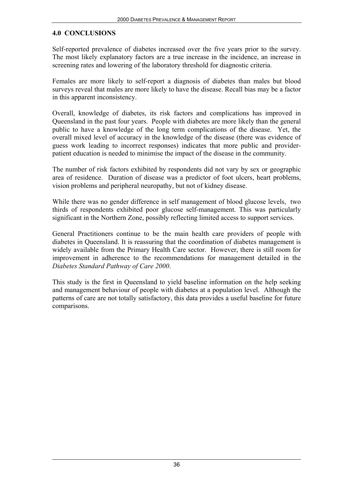#### **4.0 CONCLUSIONS**

Self-reported prevalence of diabetes increased over the five years prior to the survey. The most likely explanatory factors are a true increase in the incidence, an increase in screening rates and lowering of the laboratory threshold for diagnostic criteria.

Females are more likely to self-report a diagnosis of diabetes than males but blood surveys reveal that males are more likely to have the disease. Recall bias may be a factor in this apparent inconsistency.

Overall, knowledge of diabetes, its risk factors and complications has improved in Queensland in the past four years. People with diabetes are more likely than the general public to have a knowledge of the long term complications of the disease. Yet, the overall mixed level of accuracy in the knowledge of the disease (there was evidence of guess work leading to incorrect responses) indicates that more public and providerpatient education is needed to minimise the impact of the disease in the community.

The number of risk factors exhibited by respondents did not vary by sex or geographic area of residence. Duration of disease was a predictor of foot ulcers, heart problems, vision problems and peripheral neuropathy, but not of kidney disease.

While there was no gender difference in self management of blood glucose levels, two thirds of respondents exhibited poor glucose self-management. This was particularly significant in the Northern Zone, possibly reflecting limited access to support services.

General Practitioners continue to be the main health care providers of people with diabetes in Queensland. It is reassuring that the coordination of diabetes management is widely available from the Primary Health Care sector. However, there is still room for improvement in adherence to the recommendations for management detailed in the *Diabetes Standard Pathway of Care 2000*.

This study is the first in Queensland to yield baseline information on the help seeking and management behaviour of people with diabetes at a population level. Although the patterns of care are not totally satisfactory, this data provides a useful baseline for future comparisons.